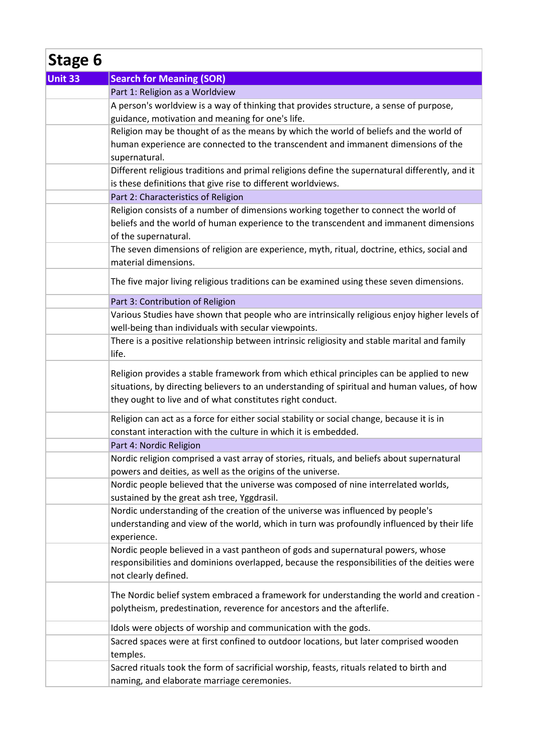| Stage 6 |                                                                                                                                                                                                                                                       |  |
|---------|-------------------------------------------------------------------------------------------------------------------------------------------------------------------------------------------------------------------------------------------------------|--|
| Unit 33 | <b>Search for Meaning (SOR)</b>                                                                                                                                                                                                                       |  |
|         | Part 1: Religion as a Worldview                                                                                                                                                                                                                       |  |
|         | A person's worldview is a way of thinking that provides structure, a sense of purpose,<br>guidance, motivation and meaning for one's life.                                                                                                            |  |
|         | Religion may be thought of as the means by which the world of beliefs and the world of<br>human experience are connected to the transcendent and immanent dimensions of the<br>supernatural.                                                          |  |
|         | Different religious traditions and primal religions define the supernatural differently, and it<br>is these definitions that give rise to different worldviews.                                                                                       |  |
|         | Part 2: Characteristics of Religion                                                                                                                                                                                                                   |  |
|         | Religion consists of a number of dimensions working together to connect the world of<br>beliefs and the world of human experience to the transcendent and immanent dimensions<br>of the supernatural.                                                 |  |
|         | The seven dimensions of religion are experience, myth, ritual, doctrine, ethics, social and<br>material dimensions.                                                                                                                                   |  |
|         | The five major living religious traditions can be examined using these seven dimensions.                                                                                                                                                              |  |
|         | Part 3: Contribution of Religion                                                                                                                                                                                                                      |  |
|         | Various Studies have shown that people who are intrinsically religious enjoy higher levels of<br>well-being than individuals with secular viewpoints.                                                                                                 |  |
|         | There is a positive relationship between intrinsic religiosity and stable marital and family<br>life.                                                                                                                                                 |  |
|         | Religion provides a stable framework from which ethical principles can be applied to new<br>situations, by directing believers to an understanding of spiritual and human values, of how<br>they ought to live and of what constitutes right conduct. |  |
|         | Religion can act as a force for either social stability or social change, because it is in<br>constant interaction with the culture in which it is embedded.                                                                                          |  |
|         | Part 4: Nordic Religion                                                                                                                                                                                                                               |  |
|         | Nordic religion comprised a vast array of stories, rituals, and beliefs about supernatural<br>powers and deities, as well as the origins of the universe.                                                                                             |  |
|         | Nordic people believed that the universe was composed of nine interrelated worlds,<br>sustained by the great ash tree, Yggdrasil.                                                                                                                     |  |
|         | Nordic understanding of the creation of the universe was influenced by people's<br>understanding and view of the world, which in turn was profoundly influenced by their life<br>experience.                                                          |  |
|         | Nordic people believed in a vast pantheon of gods and supernatural powers, whose<br>responsibilities and dominions overlapped, because the responsibilities of the deities were<br>not clearly defined.                                               |  |
|         | The Nordic belief system embraced a framework for understanding the world and creation -<br>polytheism, predestination, reverence for ancestors and the afterlife.                                                                                    |  |
|         | Idols were objects of worship and communication with the gods.                                                                                                                                                                                        |  |
|         | Sacred spaces were at first confined to outdoor locations, but later comprised wooden<br>temples.                                                                                                                                                     |  |
|         | Sacred rituals took the form of sacrificial worship, feasts, rituals related to birth and<br>naming, and elaborate marriage ceremonies.                                                                                                               |  |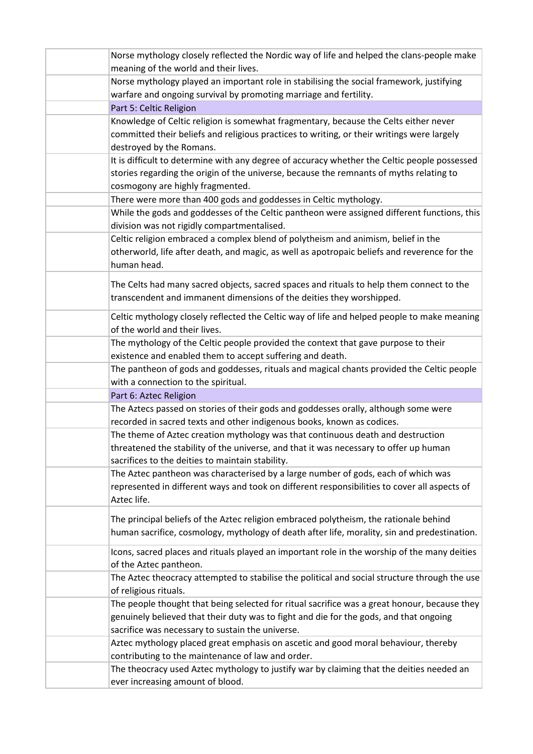| Norse mythology closely reflected the Nordic way of life and helped the clans-people make     |
|-----------------------------------------------------------------------------------------------|
| meaning of the world and their lives.                                                         |
| Norse mythology played an important role in stabilising the social framework, justifying      |
| warfare and ongoing survival by promoting marriage and fertility.                             |
| Part 5: Celtic Religion                                                                       |
| Knowledge of Celtic religion is somewhat fragmentary, because the Celts either never          |
| committed their beliefs and religious practices to writing, or their writings were largely    |
| destroyed by the Romans.                                                                      |
| It is difficult to determine with any degree of accuracy whether the Celtic people possessed  |
| stories regarding the origin of the universe, because the remnants of myths relating to       |
| cosmogony are highly fragmented.                                                              |
| There were more than 400 gods and goddesses in Celtic mythology.                              |
| While the gods and goddesses of the Celtic pantheon were assigned different functions, this   |
| division was not rigidly compartmentalised.                                                   |
| Celtic religion embraced a complex blend of polytheism and animism, belief in the             |
| otherworld, life after death, and magic, as well as apotropaic beliefs and reverence for the  |
| human head.                                                                                   |
| The Celts had many sacred objects, sacred spaces and rituals to help them connect to the      |
| transcendent and immanent dimensions of the deities they worshipped.                          |
|                                                                                               |
| Celtic mythology closely reflected the Celtic way of life and helped people to make meaning   |
| of the world and their lives.                                                                 |
| The mythology of the Celtic people provided the context that gave purpose to their            |
| existence and enabled them to accept suffering and death.                                     |
| The pantheon of gods and goddesses, rituals and magical chants provided the Celtic people     |
| with a connection to the spiritual.                                                           |
| Part 6: Aztec Religion                                                                        |
| The Aztecs passed on stories of their gods and goddesses orally, although some were           |
| recorded in sacred texts and other indigenous books, known as codices.                        |
| The theme of Aztec creation mythology was that continuous death and destruction               |
| threatened the stability of the universe, and that it was necessary to offer up human         |
| sacrifices to the deities to maintain stability.                                              |
| The Aztec pantheon was characterised by a large number of gods, each of which was             |
| represented in different ways and took on different responsibilities to cover all aspects of  |
| Aztec life.                                                                                   |
| The principal beliefs of the Aztec religion embraced polytheism, the rationale behind         |
| human sacrifice, cosmology, mythology of death after life, morality, sin and predestination.  |
|                                                                                               |
| Icons, sacred places and rituals played an important role in the worship of the many deities  |
| of the Aztec pantheon.                                                                        |
| The Aztec theocracy attempted to stabilise the political and social structure through the use |
| of religious rituals.                                                                         |
| The people thought that being selected for ritual sacrifice was a great honour, because they  |
| genuinely believed that their duty was to fight and die for the gods, and that ongoing        |
| sacrifice was necessary to sustain the universe.                                              |
| Aztec mythology placed great emphasis on ascetic and good moral behaviour, thereby            |
| contributing to the maintenance of law and order.                                             |
| The theocracy used Aztec mythology to justify war by claiming that the deities needed an      |
| ever increasing amount of blood.                                                              |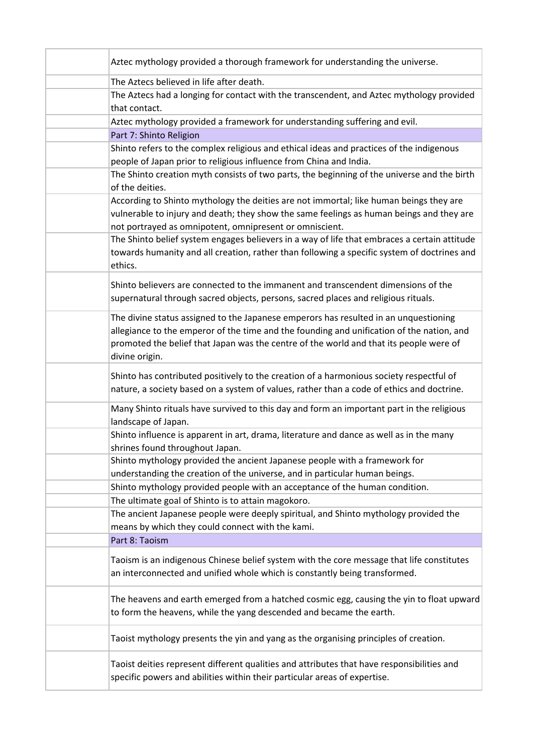| Aztec mythology provided a thorough framework for understanding the universe.                                                                                                                                                                                                                 |
|-----------------------------------------------------------------------------------------------------------------------------------------------------------------------------------------------------------------------------------------------------------------------------------------------|
| The Aztecs believed in life after death.                                                                                                                                                                                                                                                      |
| The Aztecs had a longing for contact with the transcendent, and Aztec mythology provided<br>that contact.                                                                                                                                                                                     |
| Aztec mythology provided a framework for understanding suffering and evil.                                                                                                                                                                                                                    |
| Part 7: Shinto Religion                                                                                                                                                                                                                                                                       |
| Shinto refers to the complex religious and ethical ideas and practices of the indigenous                                                                                                                                                                                                      |
| people of Japan prior to religious influence from China and India.                                                                                                                                                                                                                            |
| The Shinto creation myth consists of two parts, the beginning of the universe and the birth                                                                                                                                                                                                   |
| of the deities.                                                                                                                                                                                                                                                                               |
| According to Shinto mythology the deities are not immortal; like human beings they are<br>vulnerable to injury and death; they show the same feelings as human beings and they are<br>not portrayed as omnipotent, omnipresent or omniscient.                                                 |
| The Shinto belief system engages believers in a way of life that embraces a certain attitude<br>towards humanity and all creation, rather than following a specific system of doctrines and<br>ethics.                                                                                        |
| Shinto believers are connected to the immanent and transcendent dimensions of the<br>supernatural through sacred objects, persons, sacred places and religious rituals.                                                                                                                       |
| The divine status assigned to the Japanese emperors has resulted in an unquestioning<br>allegiance to the emperor of the time and the founding and unification of the nation, and<br>promoted the belief that Japan was the centre of the world and that its people were of<br>divine origin. |
| Shinto has contributed positively to the creation of a harmonious society respectful of<br>nature, a society based on a system of values, rather than a code of ethics and doctrine.                                                                                                          |
| Many Shinto rituals have survived to this day and form an important part in the religious<br>landscape of Japan.                                                                                                                                                                              |
| Shinto influence is apparent in art, drama, literature and dance as well as in the many<br>shrines found throughout Japan.                                                                                                                                                                    |
| Shinto mythology provided the ancient Japanese people with a framework for                                                                                                                                                                                                                    |
| understanding the creation of the universe, and in particular human beings.                                                                                                                                                                                                                   |
| Shinto mythology provided people with an acceptance of the human condition.                                                                                                                                                                                                                   |
| The ultimate goal of Shinto is to attain magokoro.                                                                                                                                                                                                                                            |
| The ancient Japanese people were deeply spiritual, and Shinto mythology provided the<br>means by which they could connect with the kami.                                                                                                                                                      |
| Part 8: Taoism                                                                                                                                                                                                                                                                                |
| Taoism is an indigenous Chinese belief system with the core message that life constitutes<br>an interconnected and unified whole which is constantly being transformed.                                                                                                                       |
| The heavens and earth emerged from a hatched cosmic egg, causing the yin to float upward<br>to form the heavens, while the yang descended and became the earth.                                                                                                                               |
| Taoist mythology presents the yin and yang as the organising principles of creation.                                                                                                                                                                                                          |
| Taoist deities represent different qualities and attributes that have responsibilities and<br>specific powers and abilities within their particular areas of expertise.                                                                                                                       |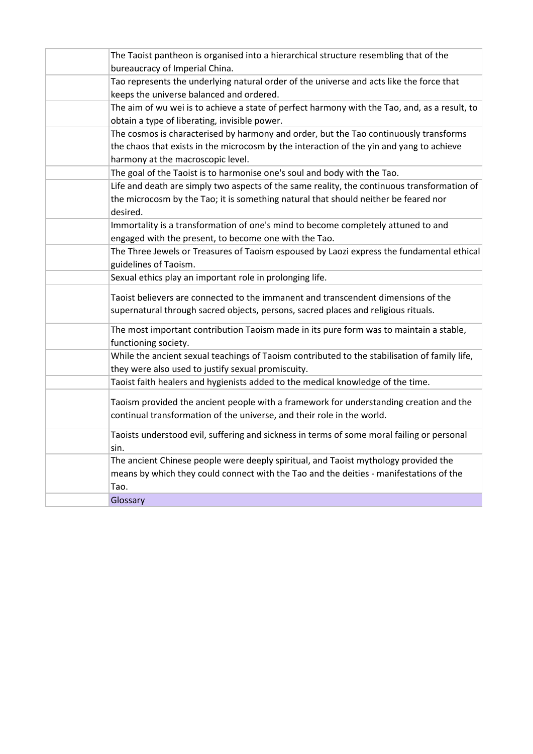| The Taoist pantheon is organised into a hierarchical structure resembling that of the<br>bureaucracy of Imperial China.                                                                        |
|------------------------------------------------------------------------------------------------------------------------------------------------------------------------------------------------|
| Tao represents the underlying natural order of the universe and acts like the force that                                                                                                       |
| keeps the universe balanced and ordered.                                                                                                                                                       |
| The aim of wu wei is to achieve a state of perfect harmony with the Tao, and, as a result, to<br>obtain a type of liberating, invisible power.                                                 |
| The cosmos is characterised by harmony and order, but the Tao continuously transforms                                                                                                          |
| the chaos that exists in the microcosm by the interaction of the yin and yang to achieve<br>harmony at the macroscopic level.                                                                  |
| The goal of the Taoist is to harmonise one's soul and body with the Tao.                                                                                                                       |
|                                                                                                                                                                                                |
| Life and death are simply two aspects of the same reality, the continuous transformation of<br>the microcosm by the Tao; it is something natural that should neither be feared nor<br>desired. |
| Immortality is a transformation of one's mind to become completely attuned to and                                                                                                              |
| engaged with the present, to become one with the Tao.                                                                                                                                          |
| The Three Jewels or Treasures of Taoism espoused by Laozi express the fundamental ethical<br>guidelines of Taoism.                                                                             |
| Sexual ethics play an important role in prolonging life.                                                                                                                                       |
| Taoist believers are connected to the immanent and transcendent dimensions of the<br>supernatural through sacred objects, persons, sacred places and religious rituals.                        |
| The most important contribution Taoism made in its pure form was to maintain a stable,<br>functioning society.                                                                                 |
| While the ancient sexual teachings of Taoism contributed to the stabilisation of family life,<br>they were also used to justify sexual promiscuity.                                            |
| Taoist faith healers and hygienists added to the medical knowledge of the time.                                                                                                                |
| Taoism provided the ancient people with a framework for understanding creation and the<br>continual transformation of the universe, and their role in the world.                               |
| Taoists understood evil, suffering and sickness in terms of some moral failing or personal<br>sin.                                                                                             |
| The ancient Chinese people were deeply spiritual, and Taoist mythology provided the<br>means by which they could connect with the Tao and the deities - manifestations of the<br>Tao.          |
| Glossary                                                                                                                                                                                       |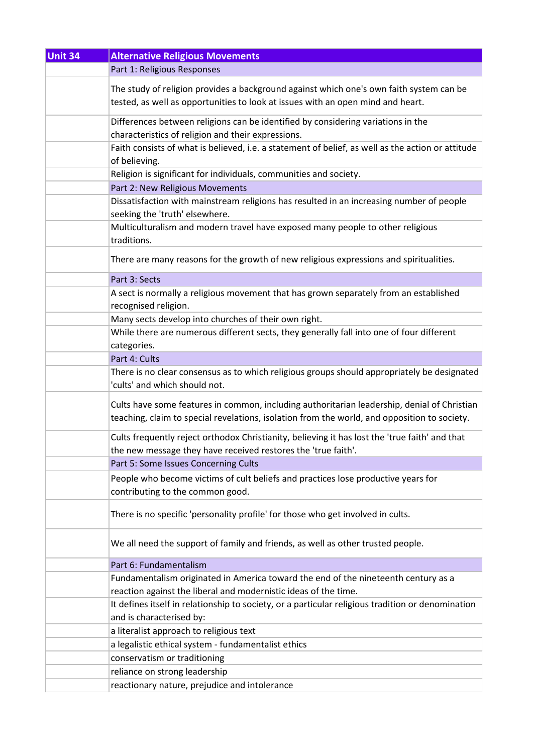| <b>Unit 34</b> | <b>Alternative Religious Movements</b>                                                                |
|----------------|-------------------------------------------------------------------------------------------------------|
|                | Part 1: Religious Responses                                                                           |
|                | The study of religion provides a background against which one's own faith system can be               |
|                | tested, as well as opportunities to look at issues with an open mind and heart.                       |
|                |                                                                                                       |
|                | Differences between religions can be identified by considering variations in the                      |
|                | characteristics of religion and their expressions.                                                    |
|                | Faith consists of what is believed, i.e. a statement of belief, as well as the action or attitude     |
|                | of believing.                                                                                         |
|                | Religion is significant for individuals, communities and society.                                     |
|                | Part 2: New Religious Movements                                                                       |
|                | Dissatisfaction with mainstream religions has resulted in an increasing number of people              |
|                | seeking the 'truth' elsewhere.                                                                        |
|                | Multiculturalism and modern travel have exposed many people to other religious                        |
|                | traditions.                                                                                           |
|                | There are many reasons for the growth of new religious expressions and spiritualities.                |
|                | Part 3: Sects                                                                                         |
|                | A sect is normally a religious movement that has grown separately from an established                 |
|                | recognised religion.                                                                                  |
|                | Many sects develop into churches of their own right.                                                  |
|                | While there are numerous different sects, they generally fall into one of four different              |
|                | categories.                                                                                           |
|                | Part 4: Cults                                                                                         |
|                | There is no clear consensus as to which religious groups should appropriately be designated           |
|                | 'cults' and which should not.                                                                         |
|                | Cults have some features in common, including authoritarian leadership, denial of Christian           |
|                | teaching, claim to special revelations, isolation from the world, and opposition to society.          |
|                |                                                                                                       |
|                | Cults frequently reject orthodox Christianity, believing it has lost the 'true faith' and that        |
|                | the new message they have received restores the 'true faith'.<br>Part 5: Some Issues Concerning Cults |
|                |                                                                                                       |
|                | People who become victims of cult beliefs and practices lose productive years for                     |
|                | contributing to the common good.                                                                      |
|                | There is no specific 'personality profile' for those who get involved in cults.                       |
|                |                                                                                                       |
|                | We all need the support of family and friends, as well as other trusted people.                       |
|                |                                                                                                       |
|                | Part 6: Fundamentalism                                                                                |
|                | Fundamentalism originated in America toward the end of the nineteenth century as a                    |
|                | reaction against the liberal and modernistic ideas of the time.                                       |
|                | It defines itself in relationship to society, or a particular religious tradition or denomination     |
|                | and is characterised by:                                                                              |
|                | a literalist approach to religious text                                                               |
|                | a legalistic ethical system - fundamentalist ethics                                                   |
|                | conservatism or traditioning                                                                          |
|                | reliance on strong leadership                                                                         |
|                | reactionary nature, prejudice and intolerance                                                         |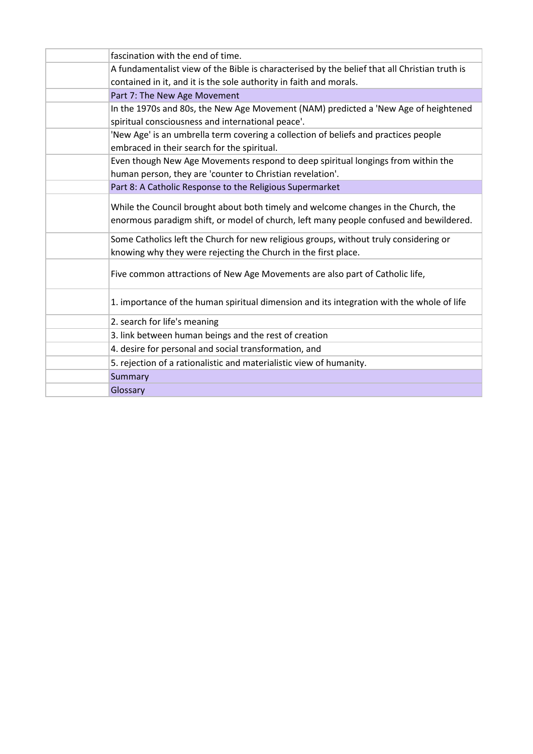| fascination with the end of time.                                                             |
|-----------------------------------------------------------------------------------------------|
| A fundamentalist view of the Bible is characterised by the belief that all Christian truth is |
| contained in it, and it is the sole authority in faith and morals.                            |
| Part 7: The New Age Movement                                                                  |
| In the 1970s and 80s, the New Age Movement (NAM) predicted a 'New Age of heightened           |
| spiritual consciousness and international peace'.                                             |
| 'New Age' is an umbrella term covering a collection of beliefs and practices people           |
| embraced in their search for the spiritual.                                                   |
| Even though New Age Movements respond to deep spiritual longings from within the              |
| human person, they are 'counter to Christian revelation'.                                     |
| Part 8: A Catholic Response to the Religious Supermarket                                      |
| While the Council brought about both timely and welcome changes in the Church, the            |
| enormous paradigm shift, or model of church, left many people confused and bewildered.        |
|                                                                                               |
| Some Catholics left the Church for new religious groups, without truly considering or         |
| knowing why they were rejecting the Church in the first place.                                |
| Five common attractions of New Age Movements are also part of Catholic life,                  |
|                                                                                               |
| 1. importance of the human spiritual dimension and its integration with the whole of life     |
| 2. search for life's meaning                                                                  |
| 3. link between human beings and the rest of creation                                         |
| 4. desire for personal and social transformation, and                                         |
| 5. rejection of a rationalistic and materialistic view of humanity.                           |
| Summary                                                                                       |
| Glossary                                                                                      |
|                                                                                               |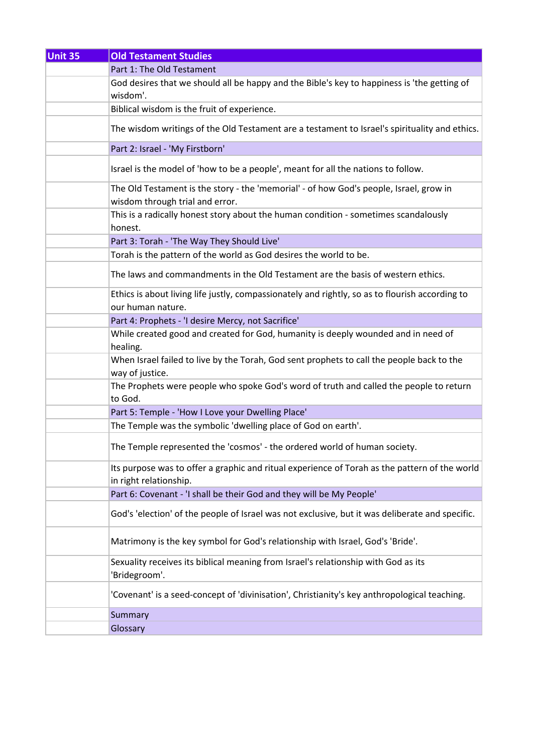| <b>Unit 35</b> | <b>Old Testament Studies</b>                                                                                              |
|----------------|---------------------------------------------------------------------------------------------------------------------------|
|                | Part 1: The Old Testament                                                                                                 |
|                | God desires that we should all be happy and the Bible's key to happiness is 'the getting of<br>wisdom'.                   |
|                | Biblical wisdom is the fruit of experience.                                                                               |
|                | The wisdom writings of the Old Testament are a testament to Israel's spirituality and ethics.                             |
|                | Part 2: Israel - 'My Firstborn'                                                                                           |
|                | Israel is the model of 'how to be a people', meant for all the nations to follow.                                         |
|                | The Old Testament is the story - the 'memorial' - of how God's people, Israel, grow in<br>wisdom through trial and error. |
|                | This is a radically honest story about the human condition - sometimes scandalously<br>honest.                            |
|                | Part 3: Torah - 'The Way They Should Live'                                                                                |
|                | Torah is the pattern of the world as God desires the world to be.                                                         |
|                | The laws and commandments in the Old Testament are the basis of western ethics.                                           |
|                | Ethics is about living life justly, compassionately and rightly, so as to flourish according to<br>our human nature.      |
|                | Part 4: Prophets - 'I desire Mercy, not Sacrifice'                                                                        |
|                | While created good and created for God, humanity is deeply wounded and in need of<br>healing.                             |
|                | When Israel failed to live by the Torah, God sent prophets to call the people back to the<br>way of justice.              |
|                | The Prophets were people who spoke God's word of truth and called the people to return<br>to God.                         |
|                | Part 5: Temple - 'How I Love your Dwelling Place'                                                                         |
|                | The Temple was the symbolic 'dwelling place of God on earth'.                                                             |
|                | The Temple represented the 'cosmos' - the ordered world of human society.                                                 |
|                | Its purpose was to offer a graphic and ritual experience of Torah as the pattern of the world<br>in right relationship.   |
|                | Part 6: Covenant - 'I shall be their God and they will be My People'                                                      |
|                | God's 'election' of the people of Israel was not exclusive, but it was deliberate and specific.                           |
|                | Matrimony is the key symbol for God's relationship with Israel, God's 'Bride'.                                            |
|                | Sexuality receives its biblical meaning from Israel's relationship with God as its<br>'Bridegroom'.                       |
|                | 'Covenant' is a seed-concept of 'divinisation', Christianity's key anthropological teaching.                              |
|                | Summary                                                                                                                   |
|                | Glossary                                                                                                                  |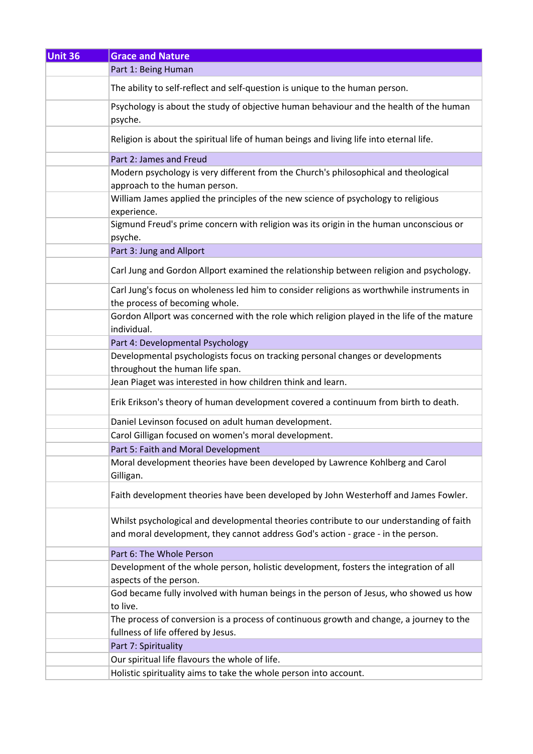| Unit 36 | <b>Grace and Nature</b>                                                                                                                                                      |
|---------|------------------------------------------------------------------------------------------------------------------------------------------------------------------------------|
|         | Part 1: Being Human                                                                                                                                                          |
|         | The ability to self-reflect and self-question is unique to the human person.                                                                                                 |
|         | Psychology is about the study of objective human behaviour and the health of the human<br>psyche.                                                                            |
|         | Religion is about the spiritual life of human beings and living life into eternal life.                                                                                      |
|         | Part 2: James and Freud                                                                                                                                                      |
|         | Modern psychology is very different from the Church's philosophical and theological                                                                                          |
|         | approach to the human person.                                                                                                                                                |
|         | William James applied the principles of the new science of psychology to religious<br>experience.                                                                            |
|         | Sigmund Freud's prime concern with religion was its origin in the human unconscious or<br>psyche.                                                                            |
|         | Part 3: Jung and Allport                                                                                                                                                     |
|         | Carl Jung and Gordon Allport examined the relationship between religion and psychology.                                                                                      |
|         | Carl Jung's focus on wholeness led him to consider religions as worthwhile instruments in<br>the process of becoming whole.                                                  |
|         | Gordon Allport was concerned with the role which religion played in the life of the mature<br>individual.                                                                    |
|         | Part 4: Developmental Psychology                                                                                                                                             |
|         | Developmental psychologists focus on tracking personal changes or developments<br>throughout the human life span.                                                            |
|         | Jean Piaget was interested in how children think and learn.                                                                                                                  |
|         | Erik Erikson's theory of human development covered a continuum from birth to death.                                                                                          |
|         | Daniel Levinson focused on adult human development.                                                                                                                          |
|         | Carol Gilligan focused on women's moral development.                                                                                                                         |
|         | Part 5: Faith and Moral Development                                                                                                                                          |
|         | Moral development theories have been developed by Lawrence Kohlberg and Carol<br>Gilligan.                                                                                   |
|         | Faith development theories have been developed by John Westerhoff and James Fowler.                                                                                          |
|         | Whilst psychological and developmental theories contribute to our understanding of faith<br>and moral development, they cannot address God's action - grace - in the person. |
|         | Part 6: The Whole Person                                                                                                                                                     |
|         | Development of the whole person, holistic development, fosters the integration of all<br>aspects of the person.                                                              |
|         | God became fully involved with human beings in the person of Jesus, who showed us how<br>to live.                                                                            |
|         | The process of conversion is a process of continuous growth and change, a journey to the<br>fullness of life offered by Jesus.                                               |
|         | Part 7: Spirituality                                                                                                                                                         |
|         | Our spiritual life flavours the whole of life.                                                                                                                               |
|         | Holistic spirituality aims to take the whole person into account.                                                                                                            |
|         |                                                                                                                                                                              |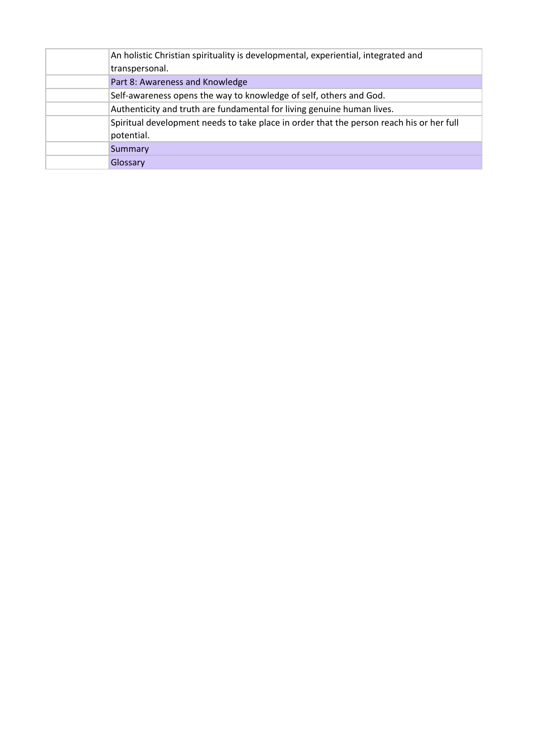| An holistic Christian spirituality is developmental, experiential, integrated and<br>transpersonal.    |
|--------------------------------------------------------------------------------------------------------|
| Part 8: Awareness and Knowledge                                                                        |
| Self-awareness opens the way to knowledge of self, others and God.                                     |
| Authenticity and truth are fundamental for living genuine human lives.                                 |
| Spiritual development needs to take place in order that the person reach his or her full<br>potential. |
| <b>Summary</b>                                                                                         |
| Glossary                                                                                               |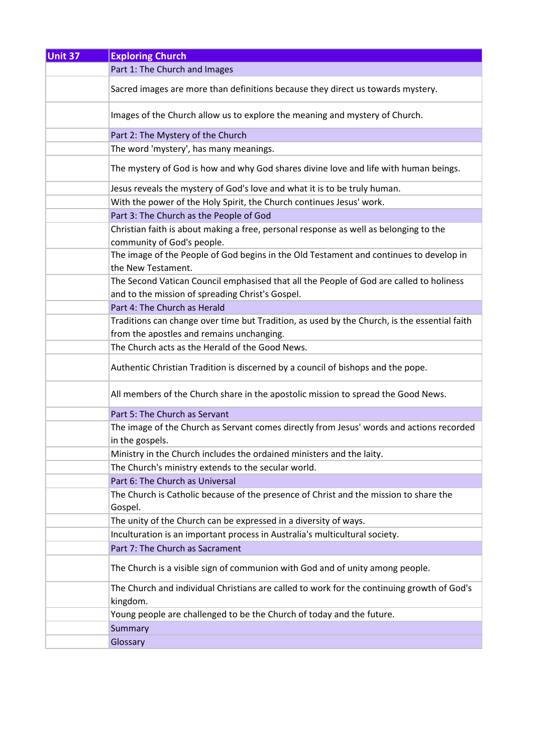| Unit 37 | <b>Exploring Church</b>                                                                                                                     |
|---------|---------------------------------------------------------------------------------------------------------------------------------------------|
|         | Part 1: The Church and Images                                                                                                               |
|         | Sacred images are more than definitions because they direct us towards mystery.                                                             |
|         | Images of the Church allow us to explore the meaning and mystery of Church.                                                                 |
|         | Part 2: The Mystery of the Church                                                                                                           |
|         | The word 'mystery', has many meanings.                                                                                                      |
|         | The mystery of God is how and why God shares divine love and life with human beings.                                                        |
|         | Jesus reveals the mystery of God's love and what it is to be truly human.                                                                   |
|         | With the power of the Holy Spirit, the Church continues Jesus' work.                                                                        |
|         | Part 3: The Church as the People of God                                                                                                     |
|         | Christian faith is about making a free, personal response as well as belonging to the<br>community of God's people.                         |
|         | The image of the People of God begins in the Old Testament and continues to develop in<br>the New Testament.                                |
|         | The Second Vatican Council emphasised that all the People of God are called to holiness<br>and to the mission of spreading Christ's Gospel. |
|         | Part 4: The Church as Herald                                                                                                                |
|         | Traditions can change over time but Tradition, as used by the Church, is the essential faith                                                |
|         | from the apostles and remains unchanging.                                                                                                   |
|         | The Church acts as the Herald of the Good News.                                                                                             |
|         | Authentic Christian Tradition is discerned by a council of bishops and the pope.                                                            |
|         | All members of the Church share in the apostolic mission to spread the Good News.                                                           |
|         | Part 5: The Church as Servant                                                                                                               |
|         | The image of the Church as Servant comes directly from Jesus' words and actions recorded<br>in the gospels.                                 |
|         | Ministry in the Church includes the ordained ministers and the laity.                                                                       |
|         | The Church's ministry extends to the secular world.                                                                                         |
|         | Part 6: The Church as Universal                                                                                                             |
|         | The Church is Catholic because of the presence of Christ and the mission to share the<br>Gospel.                                            |
|         | The unity of the Church can be expressed in a diversity of ways.                                                                            |
|         | Inculturation is an important process in Australia's multicultural society.                                                                 |
|         | Part 7: The Church as Sacrament                                                                                                             |
|         | The Church is a visible sign of communion with God and of unity among people.                                                               |
|         | The Church and individual Christians are called to work for the continuing growth of God's<br>kingdom.                                      |
|         | Young people are challenged to be the Church of today and the future.                                                                       |
|         | Summary                                                                                                                                     |
|         | Glossary                                                                                                                                    |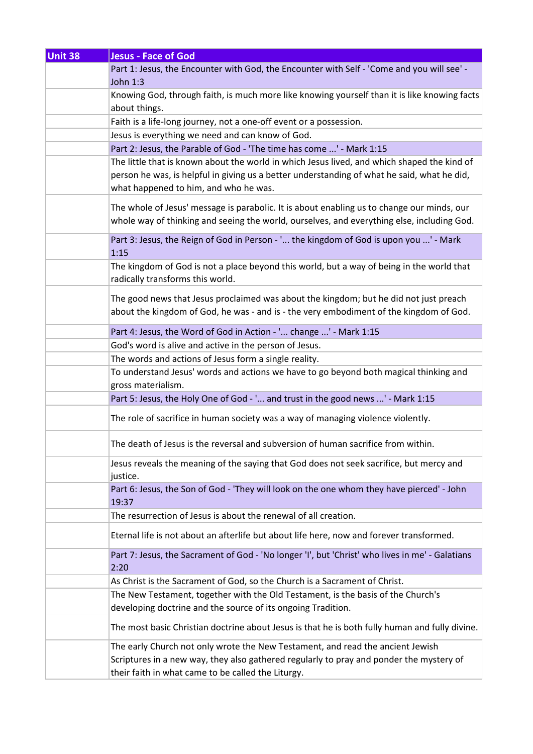| <b>Unit 38</b> | <b>Jesus - Face of God</b>                                                                                                                                                                                                          |
|----------------|-------------------------------------------------------------------------------------------------------------------------------------------------------------------------------------------------------------------------------------|
|                | Part 1: Jesus, the Encounter with God, the Encounter with Self - 'Come and you will see' -<br>John 1:3                                                                                                                              |
|                | Knowing God, through faith, is much more like knowing yourself than it is like knowing facts<br>about things.                                                                                                                       |
|                | Faith is a life-long journey, not a one-off event or a possession.                                                                                                                                                                  |
|                | Jesus is everything we need and can know of God.                                                                                                                                                                                    |
|                | Part 2: Jesus, the Parable of God - 'The time has come ' - Mark 1:15                                                                                                                                                                |
|                | The little that is known about the world in which Jesus lived, and which shaped the kind of<br>person he was, is helpful in giving us a better understanding of what he said, what he did,<br>what happened to him, and who he was. |
|                | The whole of Jesus' message is parabolic. It is about enabling us to change our minds, our<br>whole way of thinking and seeing the world, ourselves, and everything else, including God.                                            |
|                | Part 3: Jesus, the Reign of God in Person - ' the kingdom of God is upon you ' - Mark<br>1:15                                                                                                                                       |
|                | The kingdom of God is not a place beyond this world, but a way of being in the world that<br>radically transforms this world.                                                                                                       |
|                | The good news that Jesus proclaimed was about the kingdom; but he did not just preach<br>about the kingdom of God, he was - and is - the very embodiment of the kingdom of God.                                                     |
|                | Part 4: Jesus, the Word of God in Action - ' change ' - Mark 1:15                                                                                                                                                                   |
|                | God's word is alive and active in the person of Jesus.                                                                                                                                                                              |
|                | The words and actions of Jesus form a single reality.                                                                                                                                                                               |
|                | To understand Jesus' words and actions we have to go beyond both magical thinking and<br>gross materialism.                                                                                                                         |
|                | Part 5: Jesus, the Holy One of God - ' and trust in the good news ' - Mark 1:15                                                                                                                                                     |
|                | The role of sacrifice in human society was a way of managing violence violently.                                                                                                                                                    |
|                | The death of Jesus is the reversal and subversion of human sacrifice from within.                                                                                                                                                   |
|                | Jesus reveals the meaning of the saying that God does not seek sacrifice, but mercy and<br>justice.                                                                                                                                 |
|                | Part 6: Jesus, the Son of God - 'They will look on the one whom they have pierced' - John<br>19:37                                                                                                                                  |
|                | The resurrection of Jesus is about the renewal of all creation.                                                                                                                                                                     |
|                | Eternal life is not about an afterlife but about life here, now and forever transformed.                                                                                                                                            |
|                | Part 7: Jesus, the Sacrament of God - 'No longer 'I', but 'Christ' who lives in me' - Galatians<br>2:20                                                                                                                             |
|                | As Christ is the Sacrament of God, so the Church is a Sacrament of Christ.                                                                                                                                                          |
|                | The New Testament, together with the Old Testament, is the basis of the Church's                                                                                                                                                    |
|                | developing doctrine and the source of its ongoing Tradition.                                                                                                                                                                        |
|                | The most basic Christian doctrine about Jesus is that he is both fully human and fully divine.                                                                                                                                      |
|                | The early Church not only wrote the New Testament, and read the ancient Jewish                                                                                                                                                      |
|                | Scriptures in a new way, they also gathered regularly to pray and ponder the mystery of                                                                                                                                             |
|                | their faith in what came to be called the Liturgy.                                                                                                                                                                                  |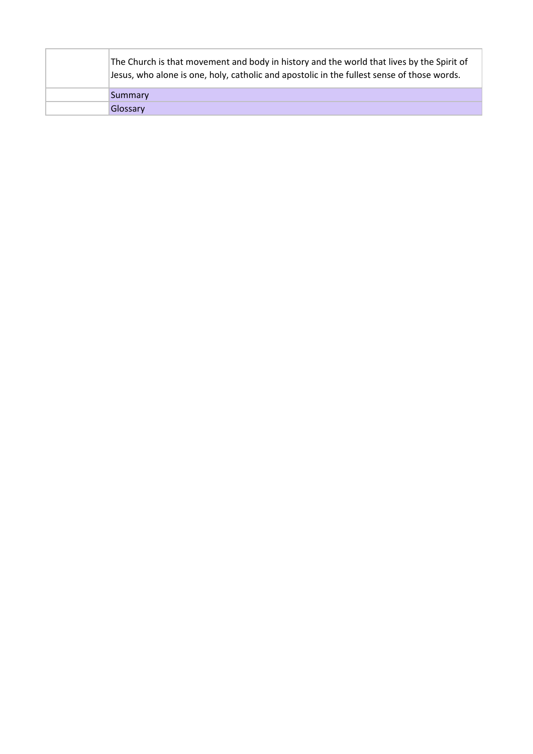|  | The Church is that movement and body in history and the world that lives by the Spirit of<br>Jesus, who alone is one, holy, catholic and apostolic in the fullest sense of those words. |
|--|-----------------------------------------------------------------------------------------------------------------------------------------------------------------------------------------|
|  | Summary                                                                                                                                                                                 |
|  | Glossary                                                                                                                                                                                |
|  |                                                                                                                                                                                         |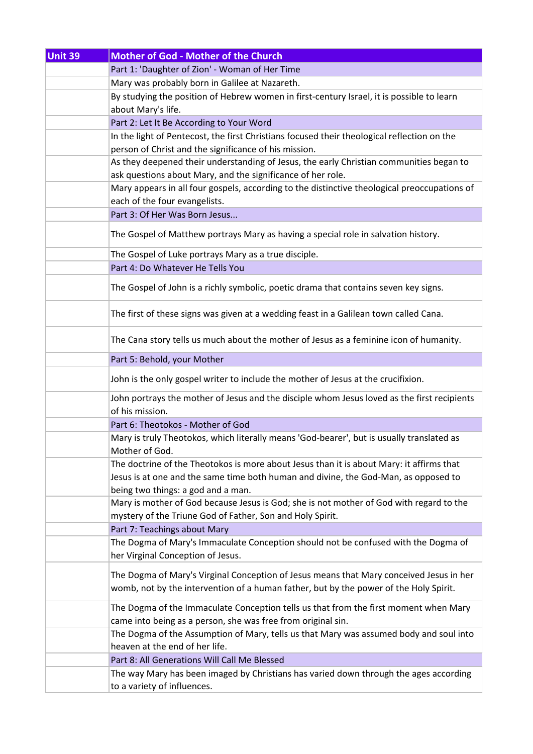| Unit 39 | <b>Mother of God - Mother of the Church</b>                                                                              |
|---------|--------------------------------------------------------------------------------------------------------------------------|
|         | Part 1: 'Daughter of Zion' - Woman of Her Time                                                                           |
|         | Mary was probably born in Galilee at Nazareth.                                                                           |
|         | By studying the position of Hebrew women in first-century Israel, it is possible to learn                                |
|         | about Mary's life.                                                                                                       |
|         | Part 2: Let It Be According to Your Word                                                                                 |
|         | In the light of Pentecost, the first Christians focused their theological reflection on the                              |
|         | person of Christ and the significance of his mission.                                                                    |
|         | As they deepened their understanding of Jesus, the early Christian communities began to                                  |
|         | ask questions about Mary, and the significance of her role.                                                              |
|         | Mary appears in all four gospels, according to the distinctive theological preoccupations of                             |
|         | each of the four evangelists.                                                                                            |
|         | Part 3: Of Her Was Born Jesus                                                                                            |
|         | The Gospel of Matthew portrays Mary as having a special role in salvation history.                                       |
|         |                                                                                                                          |
|         | The Gospel of Luke portrays Mary as a true disciple.<br>Part 4: Do Whatever He Tells You                                 |
|         |                                                                                                                          |
|         | The Gospel of John is a richly symbolic, poetic drama that contains seven key signs.                                     |
|         | The first of these signs was given at a wedding feast in a Galilean town called Cana.                                    |
|         | The Cana story tells us much about the mother of Jesus as a feminine icon of humanity.                                   |
|         | Part 5: Behold, your Mother                                                                                              |
|         | John is the only gospel writer to include the mother of Jesus at the crucifixion.                                        |
|         | John portrays the mother of Jesus and the disciple whom Jesus loved as the first recipients<br>of his mission.           |
|         | Part 6: Theotokos - Mother of God                                                                                        |
|         | Mary is truly Theotokos, which literally means 'God-bearer', but is usually translated as<br>Mother of God.              |
|         | The doctrine of the Theotokos is more about Jesus than it is about Mary: it affirms that                                 |
|         | Jesus is at one and the same time both human and divine, the God-Man, as opposed to                                      |
|         | being two things: a god and a man.                                                                                       |
|         | Mary is mother of God because Jesus is God; she is not mother of God with regard to the                                  |
|         | mystery of the Triune God of Father, Son and Holy Spirit.                                                                |
|         | Part 7: Teachings about Mary                                                                                             |
|         | The Dogma of Mary's Immaculate Conception should not be confused with the Dogma of<br>her Virginal Conception of Jesus.  |
|         | The Dogma of Mary's Virginal Conception of Jesus means that Mary conceived Jesus in her                                  |
|         | womb, not by the intervention of a human father, but by the power of the Holy Spirit.                                    |
|         | The Dogma of the Immaculate Conception tells us that from the first moment when Mary                                     |
|         | came into being as a person, she was free from original sin.                                                             |
|         | The Dogma of the Assumption of Mary, tells us that Mary was assumed body and soul into<br>heaven at the end of her life. |
|         | Part 8: All Generations Will Call Me Blessed                                                                             |
|         |                                                                                                                          |
|         | The way Mary has been imaged by Christians has varied down through the ages according<br>to a variety of influences.     |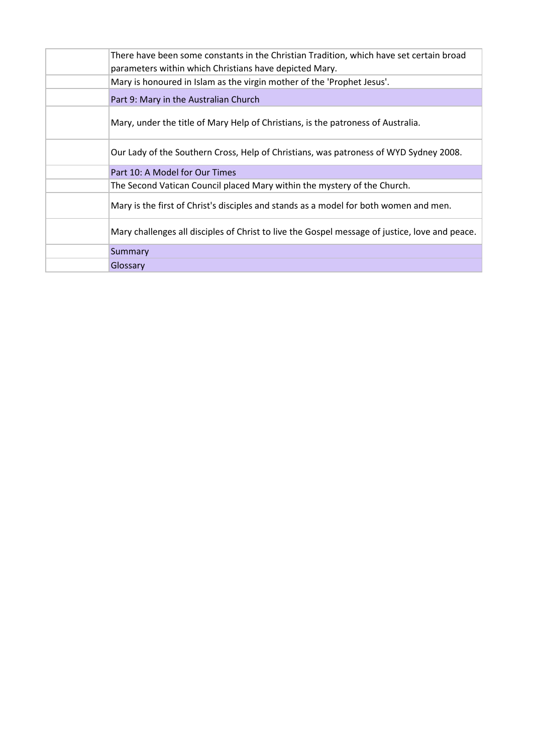| There have been some constants in the Christian Tradition, which have set certain broad<br>parameters within which Christians have depicted Mary. |
|---------------------------------------------------------------------------------------------------------------------------------------------------|
| Mary is honoured in Islam as the virgin mother of the 'Prophet Jesus'.                                                                            |
| Part 9: Mary in the Australian Church                                                                                                             |
| Mary, under the title of Mary Help of Christians, is the patroness of Australia.                                                                  |
| Our Lady of the Southern Cross, Help of Christians, was patroness of WYD Sydney 2008.                                                             |
| Part 10: A Model for Our Times                                                                                                                    |
| The Second Vatican Council placed Mary within the mystery of the Church.                                                                          |
| Mary is the first of Christ's disciples and stands as a model for both women and men.                                                             |
| Mary challenges all disciples of Christ to live the Gospel message of justice, love and peace.                                                    |
| Summary                                                                                                                                           |
| Glossary                                                                                                                                          |
|                                                                                                                                                   |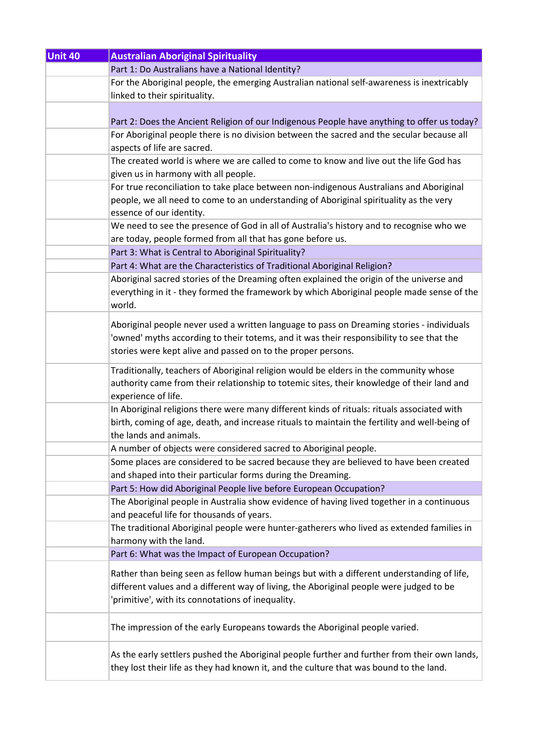| <b>Unit 40</b> | <b>Australian Aboriginal Spirituality</b>                                                     |
|----------------|-----------------------------------------------------------------------------------------------|
|                | Part 1: Do Australians have a National Identity?                                              |
|                | For the Aboriginal people, the emerging Australian national self-awareness is inextricably    |
|                | linked to their spirituality.                                                                 |
|                |                                                                                               |
|                | Part 2: Does the Ancient Religion of our Indigenous People have anything to offer us today?   |
|                | For Aboriginal people there is no division between the sacred and the secular because all     |
|                | aspects of life are sacred.                                                                   |
|                | The created world is where we are called to come to know and live out the life God has        |
|                | given us in harmony with all people.                                                          |
|                | For true reconciliation to take place between non-indigenous Australians and Aboriginal       |
|                | people, we all need to come to an understanding of Aboriginal spirituality as the very        |
|                | essence of our identity.                                                                      |
|                | We need to see the presence of God in all of Australia's history and to recognise who we      |
|                | are today, people formed from all that has gone before us.                                    |
|                | Part 3: What is Central to Aboriginal Spirituality?                                           |
|                | Part 4: What are the Characteristics of Traditional Aboriginal Religion?                      |
|                | Aboriginal sacred stories of the Dreaming often explained the origin of the universe and      |
|                | everything in it - they formed the framework by which Aboriginal people made sense of the     |
|                | world.                                                                                        |
|                |                                                                                               |
|                | Aboriginal people never used a written language to pass on Dreaming stories - individuals     |
|                | 'owned' myths according to their totems, and it was their responsibility to see that the      |
|                | stories were kept alive and passed on to the proper persons.                                  |
|                | Traditionally, teachers of Aboriginal religion would be elders in the community whose         |
|                | authority came from their relationship to totemic sites, their knowledge of their land and    |
|                | experience of life.                                                                           |
|                | In Aboriginal religions there were many different kinds of rituals: rituals associated with   |
|                | birth, coming of age, death, and increase rituals to maintain the fertility and well-being of |
|                | the lands and animals.                                                                        |
|                | A number of objects were considered sacred to Aboriginal people.                              |
|                | Some places are considered to be sacred because they are believed to have been created        |
|                | and shaped into their particular forms during the Dreaming.                                   |
|                | Part 5: How did Aboriginal People live before European Occupation?                            |
|                | The Aboriginal people in Australia show evidence of having lived together in a continuous     |
|                | and peaceful life for thousands of years.                                                     |
|                | The traditional Aboriginal people were hunter-gatherers who lived as extended families in     |
|                | harmony with the land.                                                                        |
|                | Part 6: What was the Impact of European Occupation?                                           |
|                |                                                                                               |
|                | Rather than being seen as fellow human beings but with a different understanding of life,     |
|                | different values and a different way of living, the Aboriginal people were judged to be       |
|                | 'primitive', with its connotations of inequality.                                             |
|                |                                                                                               |
|                | The impression of the early Europeans towards the Aboriginal people varied.                   |
|                |                                                                                               |
|                | As the early settlers pushed the Aboriginal people further and further from their own lands,  |
|                | they lost their life as they had known it, and the culture that was bound to the land.        |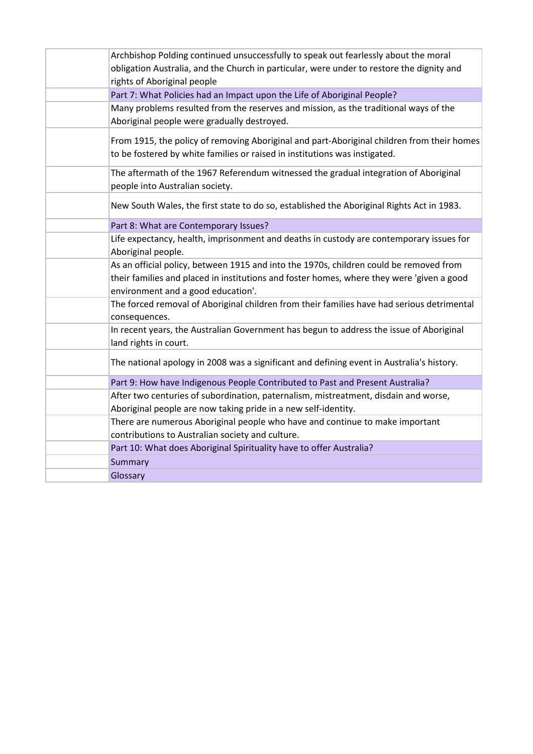| Archbishop Polding continued unsuccessfully to speak out fearlessly about the moral<br>obligation Australia, and the Church in particular, were under to restore the dignity and<br>rights of Aboriginal people           |
|---------------------------------------------------------------------------------------------------------------------------------------------------------------------------------------------------------------------------|
| Part 7: What Policies had an Impact upon the Life of Aboriginal People?                                                                                                                                                   |
| Many problems resulted from the reserves and mission, as the traditional ways of the<br>Aboriginal people were gradually destroyed.                                                                                       |
| From 1915, the policy of removing Aboriginal and part-Aboriginal children from their homes<br>to be fostered by white families or raised in institutions was instigated.                                                  |
| The aftermath of the 1967 Referendum witnessed the gradual integration of Aboriginal<br>people into Australian society.                                                                                                   |
| New South Wales, the first state to do so, established the Aboriginal Rights Act in 1983.                                                                                                                                 |
| Part 8: What are Contemporary Issues?                                                                                                                                                                                     |
| Life expectancy, health, imprisonment and deaths in custody are contemporary issues for<br>Aboriginal people.                                                                                                             |
| As an official policy, between 1915 and into the 1970s, children could be removed from<br>their families and placed in institutions and foster homes, where they were 'given a good<br>environment and a good education'. |
| The forced removal of Aboriginal children from their families have had serious detrimental<br>consequences.                                                                                                               |
| In recent years, the Australian Government has begun to address the issue of Aboriginal<br>land rights in court.                                                                                                          |
| The national apology in 2008 was a significant and defining event in Australia's history.                                                                                                                                 |
| Part 9: How have Indigenous People Contributed to Past and Present Australia?                                                                                                                                             |
| After two centuries of subordination, paternalism, mistreatment, disdain and worse,<br>Aboriginal people are now taking pride in a new self-identity.                                                                     |
| There are numerous Aboriginal people who have and continue to make important<br>contributions to Australian society and culture.                                                                                          |
| Part 10: What does Aboriginal Spirituality have to offer Australia?                                                                                                                                                       |
| Summary                                                                                                                                                                                                                   |
| Glossary                                                                                                                                                                                                                  |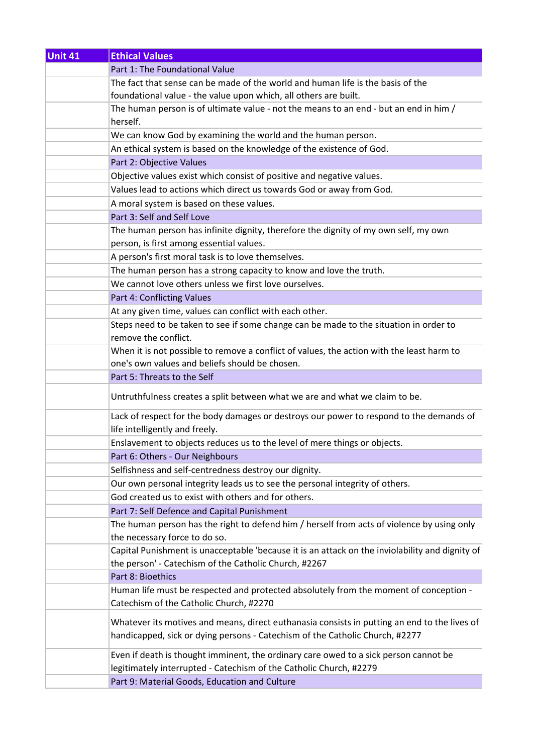| Unit 41 | <b>Ethical Values</b>                                                                           |
|---------|-------------------------------------------------------------------------------------------------|
|         | Part 1: The Foundational Value                                                                  |
|         | The fact that sense can be made of the world and human life is the basis of the                 |
|         | foundational value - the value upon which, all others are built.                                |
|         | The human person is of ultimate value - not the means to an end - but an end in him /           |
|         | herself.                                                                                        |
|         | We can know God by examining the world and the human person.                                    |
|         | An ethical system is based on the knowledge of the existence of God.                            |
|         | Part 2: Objective Values                                                                        |
|         | Objective values exist which consist of positive and negative values.                           |
|         | Values lead to actions which direct us towards God or away from God.                            |
|         | A moral system is based on these values.                                                        |
|         | Part 3: Self and Self Love                                                                      |
|         | The human person has infinite dignity, therefore the dignity of my own self, my own             |
|         | person, is first among essential values.                                                        |
|         | A person's first moral task is to love themselves.                                              |
|         | The human person has a strong capacity to know and love the truth.                              |
|         | We cannot love others unless we first love ourselves.                                           |
|         | Part 4: Conflicting Values                                                                      |
|         | At any given time, values can conflict with each other.                                         |
|         | Steps need to be taken to see if some change can be made to the situation in order to           |
|         | remove the conflict.                                                                            |
|         | When it is not possible to remove a conflict of values, the action with the least harm to       |
|         | one's own values and beliefs should be chosen.                                                  |
|         | Part 5: Threats to the Self                                                                     |
|         | Untruthfulness creates a split between what we are and what we claim to be.                     |
|         | Lack of respect for the body damages or destroys our power to respond to the demands of         |
|         | life intelligently and freely.                                                                  |
|         | Enslavement to objects reduces us to the level of mere things or objects.                       |
|         | Part 6: Others - Our Neighbours                                                                 |
|         | Selfishness and self-centredness destroy our dignity.                                           |
|         | Our own personal integrity leads us to see the personal integrity of others.                    |
|         | God created us to exist with others and for others.                                             |
|         | Part 7: Self Defence and Capital Punishment                                                     |
|         | The human person has the right to defend him / herself from acts of violence by using only      |
|         | the necessary force to do so.                                                                   |
|         | Capital Punishment is unacceptable 'because it is an attack on the inviolability and dignity of |
|         | the person' - Catechism of the Catholic Church, #2267                                           |
|         | Part 8: Bioethics                                                                               |
|         | Human life must be respected and protected absolutely from the moment of conception -           |
|         | Catechism of the Catholic Church, #2270                                                         |
|         | Whatever its motives and means, direct euthanasia consists in putting an end to the lives of    |
|         | handicapped, sick or dying persons - Catechism of the Catholic Church, #2277                    |
|         |                                                                                                 |
|         | Even if death is thought imminent, the ordinary care owed to a sick person cannot be            |
|         | legitimately interrupted - Catechism of the Catholic Church, #2279                              |
|         | Part 9: Material Goods, Education and Culture                                                   |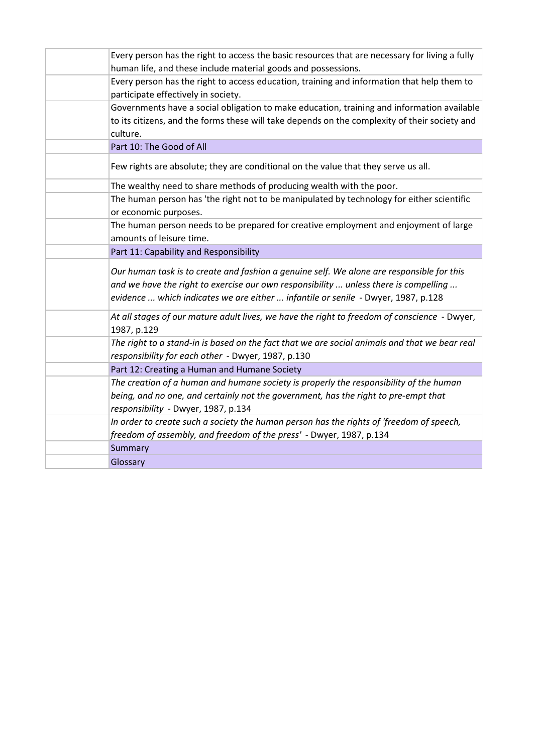| Every person has the right to access the basic resources that are necessary for living a fully<br>human life, and these include material goods and possessions.                                                                                                        |
|------------------------------------------------------------------------------------------------------------------------------------------------------------------------------------------------------------------------------------------------------------------------|
| Every person has the right to access education, training and information that help them to<br>participate effectively in society.                                                                                                                                      |
| Governments have a social obligation to make education, training and information available<br>to its citizens, and the forms these will take depends on the complexity of their society and<br>culture.                                                                |
| Part 10: The Good of All                                                                                                                                                                                                                                               |
| Few rights are absolute; they are conditional on the value that they serve us all.                                                                                                                                                                                     |
| The wealthy need to share methods of producing wealth with the poor.                                                                                                                                                                                                   |
| The human person has 'the right not to be manipulated by technology for either scientific<br>or economic purposes.                                                                                                                                                     |
| The human person needs to be prepared for creative employment and enjoyment of large<br>amounts of leisure time.                                                                                                                                                       |
| Part 11: Capability and Responsibility                                                                                                                                                                                                                                 |
| Our human task is to create and fashion a genuine self. We alone are responsible for this<br>and we have the right to exercise our own responsibility  unless there is compelling<br>evidence  which indicates we are either  infantile or senile - Dwyer, 1987, p.128 |
| At all stages of our mature adult lives, we have the right to freedom of conscience - Dwyer,<br>1987, p.129                                                                                                                                                            |
| The right to a stand-in is based on the fact that we are social animals and that we bear real<br>responsibility for each other - Dwyer, 1987, p.130                                                                                                                    |
| Part 12: Creating a Human and Humane Society                                                                                                                                                                                                                           |
| The creation of a human and humane society is properly the responsibility of the human<br>being, and no one, and certainly not the government, has the right to pre-empt that<br>responsibility - Dwyer, 1987, p.134                                                   |
| In order to create such a society the human person has the rights of 'freedom of speech,<br>freedom of assembly, and freedom of the press' - Dwyer, 1987, p.134                                                                                                        |
| Summary                                                                                                                                                                                                                                                                |
| Glossary                                                                                                                                                                                                                                                               |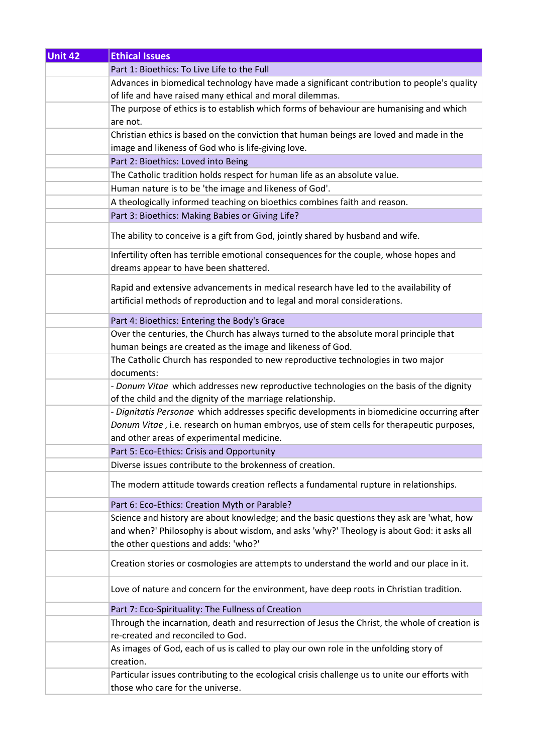| <b>Ethical Issues</b>                                                                                                                                             |
|-------------------------------------------------------------------------------------------------------------------------------------------------------------------|
| Part 1: Bioethics: To Live Life to the Full                                                                                                                       |
| Advances in biomedical technology have made a significant contribution to people's quality                                                                        |
| of life and have raised many ethical and moral dilemmas.                                                                                                          |
| The purpose of ethics is to establish which forms of behaviour are humanising and which                                                                           |
| are not.                                                                                                                                                          |
| Christian ethics is based on the conviction that human beings are loved and made in the                                                                           |
| image and likeness of God who is life-giving love.                                                                                                                |
| Part 2: Bioethics: Loved into Being                                                                                                                               |
| The Catholic tradition holds respect for human life as an absolute value.                                                                                         |
| Human nature is to be 'the image and likeness of God'.                                                                                                            |
| A theologically informed teaching on bioethics combines faith and reason.                                                                                         |
| Part 3: Bioethics: Making Babies or Giving Life?                                                                                                                  |
|                                                                                                                                                                   |
| The ability to conceive is a gift from God, jointly shared by husband and wife.                                                                                   |
| Infertility often has terrible emotional consequences for the couple, whose hopes and<br>dreams appear to have been shattered.                                    |
| Rapid and extensive advancements in medical research have led to the availability of<br>artificial methods of reproduction and to legal and moral considerations. |
| Part 4: Bioethics: Entering the Body's Grace                                                                                                                      |
| Over the centuries, the Church has always turned to the absolute moral principle that                                                                             |
| human beings are created as the image and likeness of God.                                                                                                        |
| The Catholic Church has responded to new reproductive technologies in two major<br>documents:                                                                     |
| - Donum Vitae which addresses new reproductive technologies on the basis of the dignity                                                                           |
| of the child and the dignity of the marriage relationship.                                                                                                        |
| - Dignitatis Personae which addresses specific developments in biomedicine occurring after                                                                        |
| Donum Vitae, i.e. research on human embryos, use of stem cells for therapeutic purposes,                                                                          |
| and other areas of experimental medicine.                                                                                                                         |
| Part 5: Eco-Ethics: Crisis and Opportunity                                                                                                                        |
| Diverse issues contribute to the brokenness of creation.                                                                                                          |
| The modern attitude towards creation reflects a fundamental rupture in relationships.                                                                             |
| Part 6: Eco-Ethics: Creation Myth or Parable?                                                                                                                     |
| Science and history are about knowledge; and the basic questions they ask are 'what, how                                                                          |
| and when?' Philosophy is about wisdom, and asks 'why?' Theology is about God: it asks all                                                                         |
| the other questions and adds: 'who?'                                                                                                                              |
| Creation stories or cosmologies are attempts to understand the world and our place in it.                                                                         |
| Love of nature and concern for the environment, have deep roots in Christian tradition.                                                                           |
| Part 7: Eco-Spirituality: The Fullness of Creation                                                                                                                |
| Through the incarnation, death and resurrection of Jesus the Christ, the whole of creation is                                                                     |
| re-created and reconciled to God.                                                                                                                                 |
| As images of God, each of us is called to play our own role in the unfolding story of<br>creation.                                                                |
| Particular issues contributing to the ecological crisis challenge us to unite our efforts with<br>those who care for the universe.                                |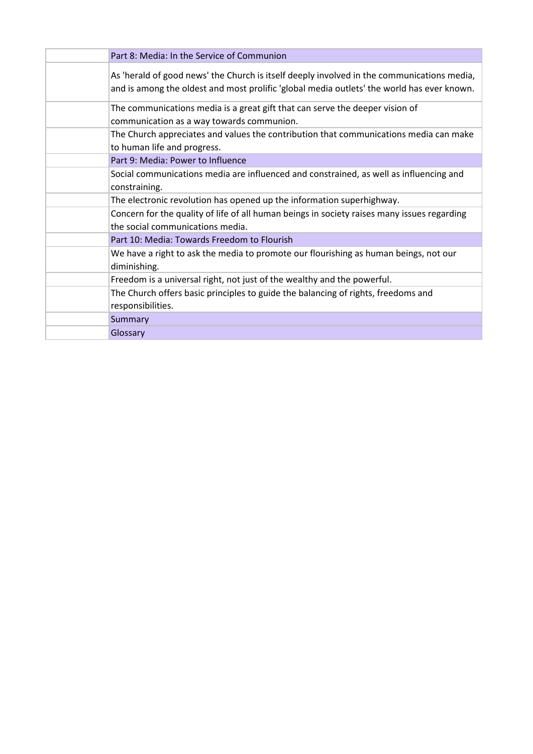| Part 8: Media: In the Service of Communion                                                                                                                                               |
|------------------------------------------------------------------------------------------------------------------------------------------------------------------------------------------|
| As 'herald of good news' the Church is itself deeply involved in the communications media,<br>and is among the oldest and most prolific 'global media outlets' the world has ever known. |
| The communications media is a great gift that can serve the deeper vision of<br>communication as a way towards communion.                                                                |
| The Church appreciates and values the contribution that communications media can make<br>to human life and progress.                                                                     |
| Part 9: Media: Power to Influence                                                                                                                                                        |
| Social communications media are influenced and constrained, as well as influencing and<br>constraining.                                                                                  |
| The electronic revolution has opened up the information superhighway.                                                                                                                    |
| Concern for the quality of life of all human beings in society raises many issues regarding<br>the social communications media.                                                          |
| Part 10: Media: Towards Freedom to Flourish                                                                                                                                              |
| We have a right to ask the media to promote our flourishing as human beings, not our<br>diminishing.                                                                                     |
| Freedom is a universal right, not just of the wealthy and the powerful.                                                                                                                  |
| The Church offers basic principles to guide the balancing of rights, freedoms and<br>responsibilities.                                                                                   |
| Summary                                                                                                                                                                                  |
| Glossary                                                                                                                                                                                 |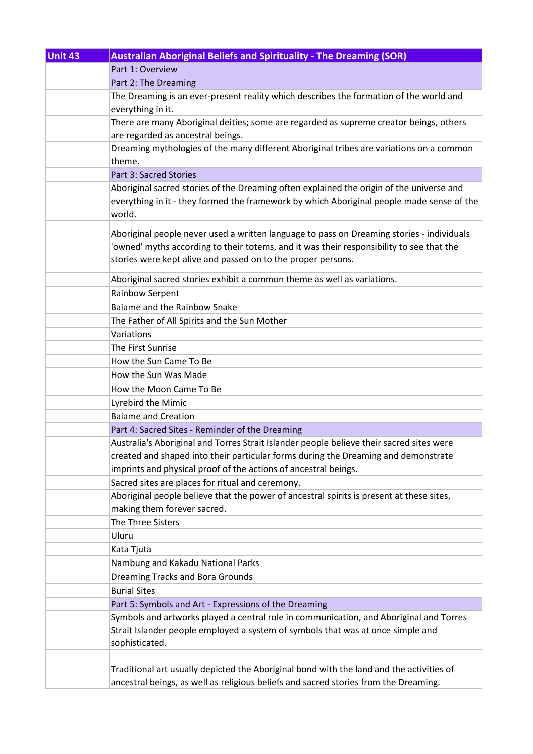| <b>Unit 43</b> | <b>Australian Aboriginal Beliefs and Spirituality - The Dreaming (SOR)</b>                |
|----------------|-------------------------------------------------------------------------------------------|
|                | Part 1: Overview                                                                          |
|                | Part 2: The Dreaming                                                                      |
|                | The Dreaming is an ever-present reality which describes the formation of the world and    |
|                | everything in it.                                                                         |
|                | There are many Aboriginal deities; some are regarded as supreme creator beings, others    |
|                | are regarded as ancestral beings.                                                         |
|                | Dreaming mythologies of the many different Aboriginal tribes are variations on a common   |
|                | theme.                                                                                    |
|                | Part 3: Sacred Stories                                                                    |
|                | Aboriginal sacred stories of the Dreaming often explained the origin of the universe and  |
|                | everything in it - they formed the framework by which Aboriginal people made sense of the |
|                | world.                                                                                    |
|                | Aboriginal people never used a written language to pass on Dreaming stories - individuals |
|                | 'owned' myths according to their totems, and it was their responsibility to see that the  |
|                | stories were kept alive and passed on to the proper persons.                              |
|                |                                                                                           |
|                | Aboriginal sacred stories exhibit a common theme as well as variations.                   |
|                | Rainbow Serpent                                                                           |
|                | Baiame and the Rainbow Snake                                                              |
|                | The Father of All Spirits and the Sun Mother                                              |
|                | Variations                                                                                |
|                | The First Sunrise                                                                         |
|                | How the Sun Came To Be                                                                    |
|                | How the Sun Was Made                                                                      |
|                | How the Moon Came To Be                                                                   |
|                | Lyrebird the Mimic                                                                        |
|                | <b>Baiame and Creation</b>                                                                |
|                | Part 4: Sacred Sites - Reminder of the Dreaming                                           |
|                | Australia's Aboriginal and Torres Strait Islander people believe their sacred sites were  |
|                | created and shaped into their particular forms during the Dreaming and demonstrate        |
|                | imprints and physical proof of the actions of ancestral beings.                           |
|                | Sacred sites are places for ritual and ceremony.                                          |
|                | Aboriginal people believe that the power of ancestral spirits is present at these sites,  |
|                | making them forever sacred.                                                               |
|                | The Three Sisters                                                                         |
|                | Uluru                                                                                     |
|                | Kata Tjuta                                                                                |
|                | Nambung and Kakadu National Parks                                                         |
|                | Dreaming Tracks and Bora Grounds                                                          |
|                | <b>Burial Sites</b>                                                                       |
|                | Part 5: Symbols and Art - Expressions of the Dreaming                                     |
|                | Symbols and artworks played a central role in communication, and Aboriginal and Torres    |
|                | Strait Islander people employed a system of symbols that was at once simple and           |
|                | sophisticated.                                                                            |
|                |                                                                                           |
|                | Traditional art usually depicted the Aboriginal bond with the land and the activities of  |
|                | ancestral beings, as well as religious beliefs and sacred stories from the Dreaming.      |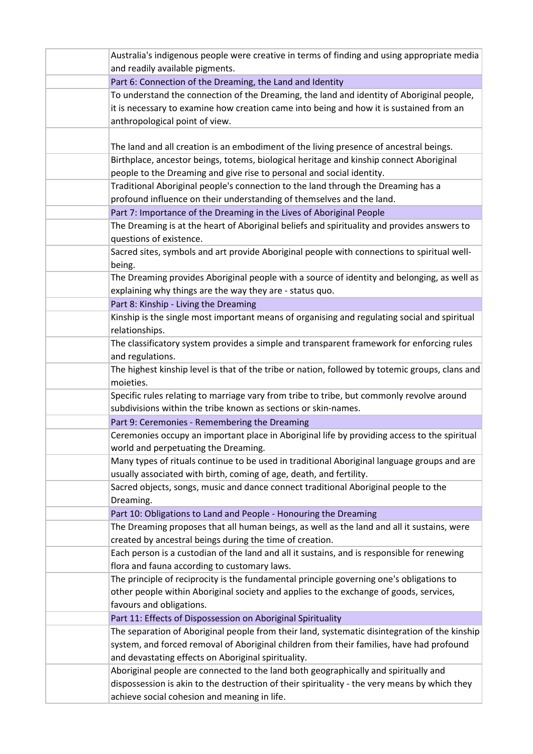| Australia's indigenous people were creative in terms of finding and using appropriate media                                         |
|-------------------------------------------------------------------------------------------------------------------------------------|
| and readily available pigments.                                                                                                     |
| Part 6: Connection of the Dreaming, the Land and Identity                                                                           |
| To understand the connection of the Dreaming, the land and identity of Aboriginal people,                                           |
| it is necessary to examine how creation came into being and how it is sustained from an                                             |
| anthropological point of view.                                                                                                      |
|                                                                                                                                     |
| The land and all creation is an embodiment of the living presence of ancestral beings.                                              |
| Birthplace, ancestor beings, totems, biological heritage and kinship connect Aboriginal                                             |
| people to the Dreaming and give rise to personal and social identity.                                                               |
| Traditional Aboriginal people's connection to the land through the Dreaming has a                                                   |
| profound influence on their understanding of themselves and the land.                                                               |
| Part 7: Importance of the Dreaming in the Lives of Aboriginal People                                                                |
| The Dreaming is at the heart of Aboriginal beliefs and spirituality and provides answers to<br>questions of existence.              |
| Sacred sites, symbols and art provide Aboriginal people with connections to spiritual well-<br>being.                               |
| The Dreaming provides Aboriginal people with a source of identity and belonging, as well as                                         |
| explaining why things are the way they are - status quo.                                                                            |
| Part 8: Kinship - Living the Dreaming                                                                                               |
| Kinship is the single most important means of organising and regulating social and spiritual                                        |
| relationships.                                                                                                                      |
| The classificatory system provides a simple and transparent framework for enforcing rules                                           |
| and regulations.                                                                                                                    |
| The highest kinship level is that of the tribe or nation, followed by totemic groups, clans and                                     |
| moieties.                                                                                                                           |
| Specific rules relating to marriage vary from tribe to tribe, but commonly revolve around                                           |
| subdivisions within the tribe known as sections or skin-names.                                                                      |
| Part 9: Ceremonies - Remembering the Dreaming                                                                                       |
| Ceremonies occupy an important place in Aboriginal life by providing access to the spiritual                                        |
| world and perpetuating the Dreaming.<br>Many types of rituals continue to be used in traditional Aboriginal language groups and are |
| usually associated with birth, coming of age, death, and fertility.                                                                 |
| Sacred objects, songs, music and dance connect traditional Aboriginal people to the                                                 |
| Dreaming.                                                                                                                           |
| Part 10: Obligations to Land and People - Honouring the Dreaming                                                                    |
| The Dreaming proposes that all human beings, as well as the land and all it sustains, were                                          |
| created by ancestral beings during the time of creation.                                                                            |
| Each person is a custodian of the land and all it sustains, and is responsible for renewing                                         |
| flora and fauna according to customary laws.                                                                                        |
| The principle of reciprocity is the fundamental principle governing one's obligations to                                            |
| other people within Aboriginal society and applies to the exchange of goods, services,                                              |
| favours and obligations.                                                                                                            |
| Part 11: Effects of Dispossession on Aboriginal Spirituality                                                                        |
| The separation of Aboriginal people from their land, systematic disintegration of the kinship                                       |
| system, and forced removal of Aboriginal children from their families, have had profound                                            |
| and devastating effects on Aboriginal spirituality.                                                                                 |
| Aboriginal people are connected to the land both geographically and spiritually and                                                 |
| dispossession is akin to the destruction of their spirituality - the very means by which they                                       |
| achieve social cohesion and meaning in life.                                                                                        |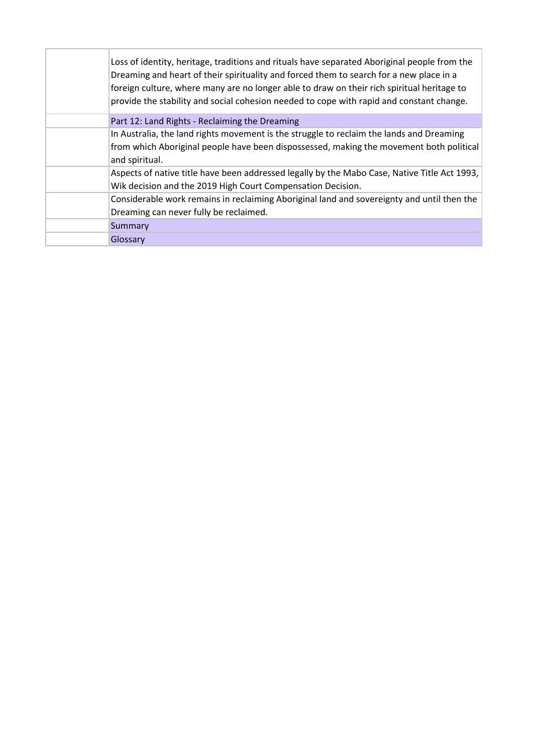| Loss of identity, heritage, traditions and rituals have separated Aboriginal people from the<br>Dreaming and heart of their spirituality and forced them to search for a new place in a<br>foreign culture, where many are no longer able to draw on their rich spiritual heritage to<br>provide the stability and social cohesion needed to cope with rapid and constant change. |
|-----------------------------------------------------------------------------------------------------------------------------------------------------------------------------------------------------------------------------------------------------------------------------------------------------------------------------------------------------------------------------------|
| Part 12: Land Rights - Reclaiming the Dreaming                                                                                                                                                                                                                                                                                                                                    |
| In Australia, the land rights movement is the struggle to reclaim the lands and Dreaming                                                                                                                                                                                                                                                                                          |
| from which Aboriginal people have been dispossessed, making the movement both political                                                                                                                                                                                                                                                                                           |
| and spiritual.                                                                                                                                                                                                                                                                                                                                                                    |
| Aspects of native title have been addressed legally by the Mabo Case, Native Title Act 1993,                                                                                                                                                                                                                                                                                      |
| Wik decision and the 2019 High Court Compensation Decision.                                                                                                                                                                                                                                                                                                                       |
| Considerable work remains in reclaiming Aboriginal land and sovereignty and until then the                                                                                                                                                                                                                                                                                        |
| Dreaming can never fully be reclaimed.                                                                                                                                                                                                                                                                                                                                            |
| Summary                                                                                                                                                                                                                                                                                                                                                                           |
| Glossary                                                                                                                                                                                                                                                                                                                                                                          |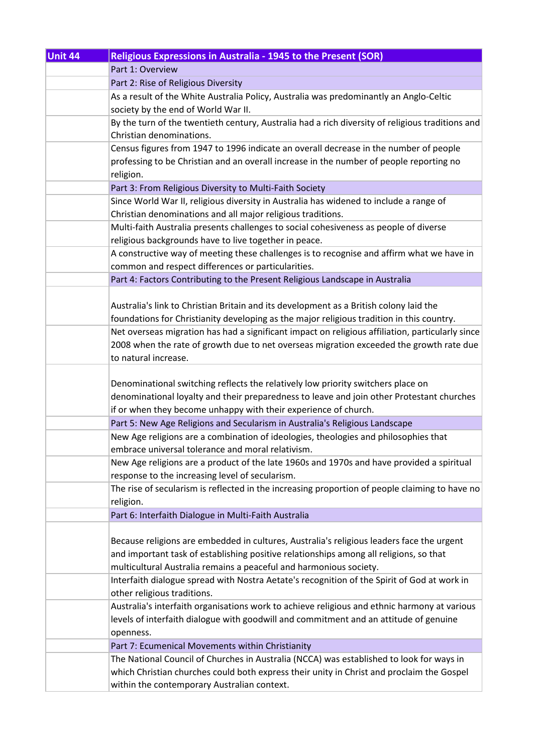| Unit 44 | Religious Expressions in Australia - 1945 to the Present (SOR)                                                                                                     |
|---------|--------------------------------------------------------------------------------------------------------------------------------------------------------------------|
|         | Part 1: Overview                                                                                                                                                   |
|         | Part 2: Rise of Religious Diversity                                                                                                                                |
|         | As a result of the White Australia Policy, Australia was predominantly an Anglo-Celtic                                                                             |
|         | society by the end of World War II.                                                                                                                                |
|         | By the turn of the twentieth century, Australia had a rich diversity of religious traditions and                                                                   |
|         | Christian denominations.                                                                                                                                           |
|         | Census figures from 1947 to 1996 indicate an overall decrease in the number of people                                                                              |
|         | professing to be Christian and an overall increase in the number of people reporting no                                                                            |
|         | religion.                                                                                                                                                          |
|         | Part 3: From Religious Diversity to Multi-Faith Society                                                                                                            |
|         | Since World War II, religious diversity in Australia has widened to include a range of                                                                             |
|         | Christian denominations and all major religious traditions.                                                                                                        |
|         | Multi-faith Australia presents challenges to social cohesiveness as people of diverse                                                                              |
|         | religious backgrounds have to live together in peace.                                                                                                              |
|         | A constructive way of meeting these challenges is to recognise and affirm what we have in                                                                          |
|         | common and respect differences or particularities.                                                                                                                 |
|         | Part 4: Factors Contributing to the Present Religious Landscape in Australia                                                                                       |
|         |                                                                                                                                                                    |
|         | Australia's link to Christian Britain and its development as a British colony laid the                                                                             |
|         | foundations for Christianity developing as the major religious tradition in this country.                                                                          |
|         | Net overseas migration has had a significant impact on religious affiliation, particularly since                                                                   |
|         | 2008 when the rate of growth due to net overseas migration exceeded the growth rate due                                                                            |
|         | to natural increase.                                                                                                                                               |
|         |                                                                                                                                                                    |
|         | Denominational switching reflects the relatively low priority switchers place on                                                                                   |
|         | denominational loyalty and their preparedness to leave and join other Protestant churches                                                                          |
|         | if or when they become unhappy with their experience of church.                                                                                                    |
|         | Part 5: New Age Religions and Secularism in Australia's Religious Landscape<br>New Age religions are a combination of ideologies, theologies and philosophies that |
|         | embrace universal tolerance and moral relativism.                                                                                                                  |
|         | New Age religions are a product of the late 1960s and 1970s and have provided a spiritual                                                                          |
|         | response to the increasing level of secularism.                                                                                                                    |
|         | The rise of secularism is reflected in the increasing proportion of people claiming to have no                                                                     |
|         | religion.                                                                                                                                                          |
|         | Part 6: Interfaith Dialogue in Multi-Faith Australia                                                                                                               |
|         |                                                                                                                                                                    |
|         | Because religions are embedded in cultures, Australia's religious leaders face the urgent                                                                          |
|         | and important task of establishing positive relationships among all religions, so that                                                                             |
|         | multicultural Australia remains a peaceful and harmonious society.                                                                                                 |
|         | Interfaith dialogue spread with Nostra Aetate's recognition of the Spirit of God at work in                                                                        |
|         | other religious traditions.                                                                                                                                        |
|         | Australia's interfaith organisations work to achieve religious and ethnic harmony at various                                                                       |
|         | levels of interfaith dialogue with goodwill and commitment and an attitude of genuine                                                                              |
|         | openness.                                                                                                                                                          |
|         | Part 7: Ecumenical Movements within Christianity                                                                                                                   |
|         | The National Council of Churches in Australia (NCCA) was established to look for ways in                                                                           |
|         | which Christian churches could both express their unity in Christ and proclaim the Gospel                                                                          |
|         | within the contemporary Australian context.                                                                                                                        |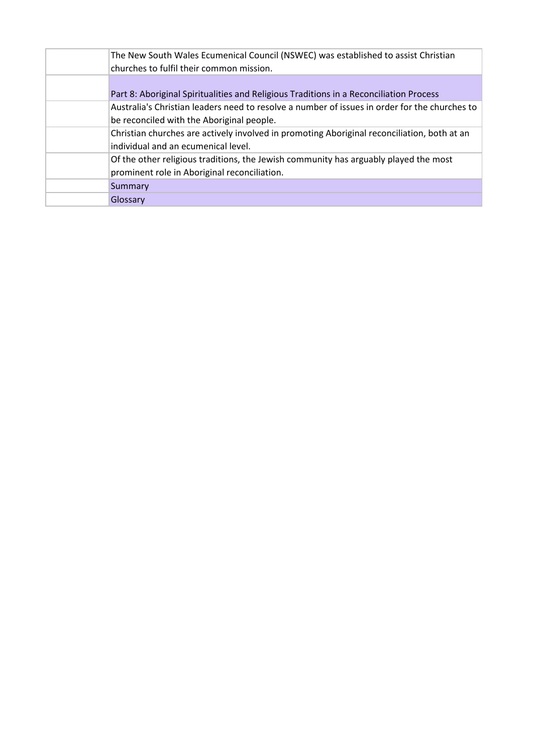| The New South Wales Ecumenical Council (NSWEC) was established to assist Christian<br>churches to fulfil their common mission.             |
|--------------------------------------------------------------------------------------------------------------------------------------------|
| Part 8: Aboriginal Spiritualities and Religious Traditions in a Reconciliation Process                                                     |
| Australia's Christian leaders need to resolve a number of issues in order for the churches to<br>be reconciled with the Aboriginal people. |
| Christian churches are actively involved in promoting Aboriginal reconciliation, both at an<br>individual and an ecumenical level.         |
| Of the other religious traditions, the Jewish community has arguably played the most<br>prominent role in Aboriginal reconciliation.       |
| Summary                                                                                                                                    |
| Glossary                                                                                                                                   |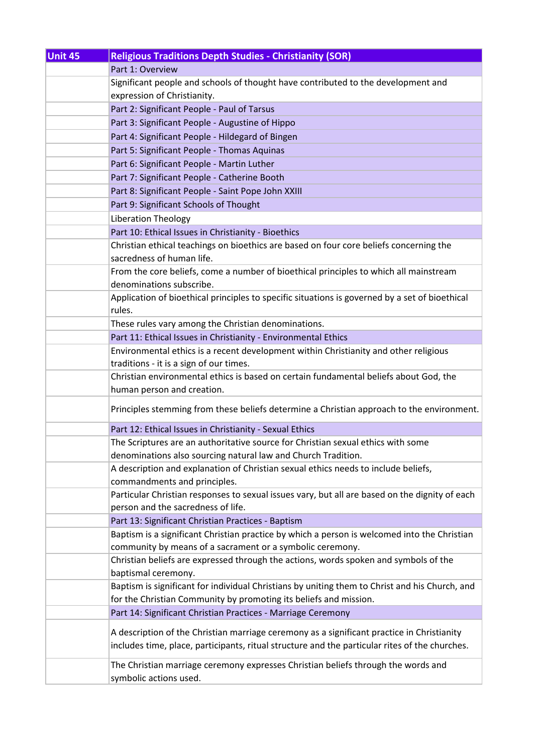| Unit 45 | <b>Religious Traditions Depth Studies - Christianity (SOR)</b>                                 |
|---------|------------------------------------------------------------------------------------------------|
|         | Part 1: Overview                                                                               |
|         | Significant people and schools of thought have contributed to the development and              |
|         | expression of Christianity.                                                                    |
|         | Part 2: Significant People - Paul of Tarsus                                                    |
|         | Part 3: Significant People - Augustine of Hippo                                                |
|         | Part 4: Significant People - Hildegard of Bingen                                               |
|         | Part 5: Significant People - Thomas Aquinas                                                    |
|         | Part 6: Significant People - Martin Luther                                                     |
|         | Part 7: Significant People - Catherine Booth                                                   |
|         | Part 8: Significant People - Saint Pope John XXIII                                             |
|         | Part 9: Significant Schools of Thought                                                         |
|         | Liberation Theology                                                                            |
|         | Part 10: Ethical Issues in Christianity - Bioethics                                            |
|         | Christian ethical teachings on bioethics are based on four core beliefs concerning the         |
|         | sacredness of human life.                                                                      |
|         | From the core beliefs, come a number of bioethical principles to which all mainstream          |
|         | denominations subscribe.                                                                       |
|         | Application of bioethical principles to specific situations is governed by a set of bioethical |
|         | rules.                                                                                         |
|         | These rules vary among the Christian denominations.                                            |
|         | Part 11: Ethical Issues in Christianity - Environmental Ethics                                 |
|         | Environmental ethics is a recent development within Christianity and other religious           |
|         | traditions - it is a sign of our times.                                                        |
|         | Christian environmental ethics is based on certain fundamental beliefs about God, the          |
|         | human person and creation.                                                                     |
|         | Principles stemming from these beliefs determine a Christian approach to the environment.      |
|         | Part 12: Ethical Issues in Christianity - Sexual Ethics                                        |
|         | The Scriptures are an authoritative source for Christian sexual ethics with some               |
|         | denominations also sourcing natural law and Church Tradition.                                  |
|         | A description and explanation of Christian sexual ethics needs to include beliefs,             |
|         | commandments and principles.                                                                   |
|         | Particular Christian responses to sexual issues vary, but all are based on the dignity of each |
|         | person and the sacredness of life.                                                             |
|         | Part 13: Significant Christian Practices - Baptism                                             |
|         | Baptism is a significant Christian practice by which a person is welcomed into the Christian   |
|         | community by means of a sacrament or a symbolic ceremony.                                      |
|         | Christian beliefs are expressed through the actions, words spoken and symbols of the           |
|         | baptismal ceremony.                                                                            |
|         | Baptism is significant for individual Christians by uniting them to Christ and his Church, and |
|         | for the Christian Community by promoting its beliefs and mission.                              |
|         | Part 14: Significant Christian Practices - Marriage Ceremony                                   |
|         | A description of the Christian marriage ceremony as a significant practice in Christianity     |
|         | includes time, place, participants, ritual structure and the particular rites of the churches. |
|         | The Christian marriage ceremony expresses Christian beliefs through the words and              |
|         | symbolic actions used.                                                                         |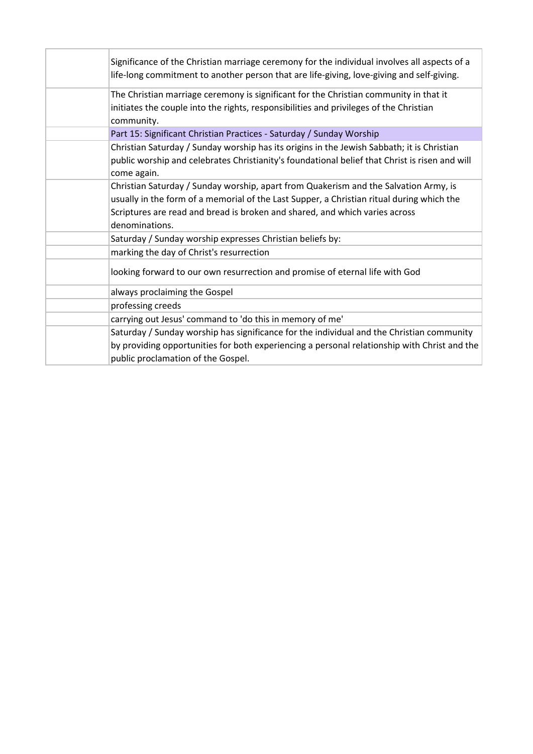| Significance of the Christian marriage ceremony for the individual involves all aspects of a<br>life-long commitment to another person that are life-giving, love-giving and self-giving.                                                                                          |
|------------------------------------------------------------------------------------------------------------------------------------------------------------------------------------------------------------------------------------------------------------------------------------|
| The Christian marriage ceremony is significant for the Christian community in that it<br>initiates the couple into the rights, responsibilities and privileges of the Christian<br>community.                                                                                      |
| Part 15: Significant Christian Practices - Saturday / Sunday Worship                                                                                                                                                                                                               |
| Christian Saturday / Sunday worship has its origins in the Jewish Sabbath; it is Christian<br>public worship and celebrates Christianity's foundational belief that Christ is risen and will<br>come again.                                                                        |
| Christian Saturday / Sunday worship, apart from Quakerism and the Salvation Army, is<br>usually in the form of a memorial of the Last Supper, a Christian ritual during which the<br>Scriptures are read and bread is broken and shared, and which varies across<br>denominations. |
| Saturday / Sunday worship expresses Christian beliefs by:                                                                                                                                                                                                                          |
| marking the day of Christ's resurrection                                                                                                                                                                                                                                           |
| looking forward to our own resurrection and promise of eternal life with God                                                                                                                                                                                                       |
| always proclaiming the Gospel                                                                                                                                                                                                                                                      |
| professing creeds                                                                                                                                                                                                                                                                  |
| carrying out Jesus' command to 'do this in memory of me'                                                                                                                                                                                                                           |
| Saturday / Sunday worship has significance for the individual and the Christian community<br>by providing opportunities for both experiencing a personal relationship with Christ and the<br>public proclamation of the Gospel.                                                    |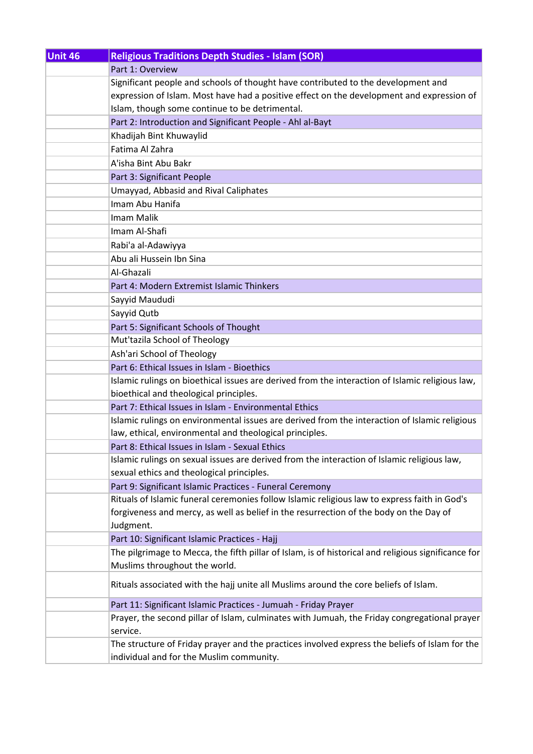| Unit 46 | <b>Religious Traditions Depth Studies - Islam (SOR)</b>                                                                                                                                |
|---------|----------------------------------------------------------------------------------------------------------------------------------------------------------------------------------------|
|         | Part 1: Overview                                                                                                                                                                       |
|         | Significant people and schools of thought have contributed to the development and                                                                                                      |
|         | expression of Islam. Most have had a positive effect on the development and expression of                                                                                              |
|         | Islam, though some continue to be detrimental.                                                                                                                                         |
|         | Part 2: Introduction and Significant People - Ahl al-Bayt                                                                                                                              |
|         | Khadijah Bint Khuwaylid                                                                                                                                                                |
|         | Fatima Al Zahra                                                                                                                                                                        |
|         | A'isha Bint Abu Bakr                                                                                                                                                                   |
|         | Part 3: Significant People                                                                                                                                                             |
|         | Umayyad, Abbasid and Rival Caliphates                                                                                                                                                  |
|         | Imam Abu Hanifa                                                                                                                                                                        |
|         | Imam Malik                                                                                                                                                                             |
|         | Imam Al-Shafi                                                                                                                                                                          |
|         | Rabi'a al-Adawiyya                                                                                                                                                                     |
|         | Abu ali Hussein Ibn Sina                                                                                                                                                               |
|         | Al-Ghazali                                                                                                                                                                             |
|         | Part 4: Modern Extremist Islamic Thinkers                                                                                                                                              |
|         | Sayyid Maududi                                                                                                                                                                         |
|         | Sayyid Qutb                                                                                                                                                                            |
|         | Part 5: Significant Schools of Thought                                                                                                                                                 |
|         | Mut'tazila School of Theology                                                                                                                                                          |
|         | Ash'ari School of Theology                                                                                                                                                             |
|         | Part 6: Ethical Issues in Islam - Bioethics                                                                                                                                            |
|         | Islamic rulings on bioethical issues are derived from the interaction of Islamic religious law,                                                                                        |
|         | bioethical and theological principles.                                                                                                                                                 |
|         | Part 7: Ethical Issues in Islam - Environmental Ethics                                                                                                                                 |
|         | Islamic rulings on environmental issues are derived from the interaction of Islamic religious                                                                                          |
|         | law, ethical, environmental and theological principles.                                                                                                                                |
|         | Part 8: Ethical Issues in Islam - Sexual Ethics                                                                                                                                        |
|         | Islamic rulings on sexual issues are derived from the interaction of Islamic religious law,                                                                                            |
|         | sexual ethics and theological principles.                                                                                                                                              |
|         | Part 9: Significant Islamic Practices - Funeral Ceremony                                                                                                                               |
|         | Rituals of Islamic funeral ceremonies follow Islamic religious law to express faith in God's<br>forgiveness and mercy, as well as belief in the resurrection of the body on the Day of |
|         | Judgment.                                                                                                                                                                              |
|         | Part 10: Significant Islamic Practices - Hajj                                                                                                                                          |
|         | The pilgrimage to Mecca, the fifth pillar of Islam, is of historical and religious significance for                                                                                    |
|         | Muslims throughout the world.                                                                                                                                                          |
|         | Rituals associated with the hajj unite all Muslims around the core beliefs of Islam.                                                                                                   |
|         | Part 11: Significant Islamic Practices - Jumuah - Friday Prayer                                                                                                                        |
|         | Prayer, the second pillar of Islam, culminates with Jumuah, the Friday congregational prayer                                                                                           |
|         | service.                                                                                                                                                                               |
|         | The structure of Friday prayer and the practices involved express the beliefs of Islam for the                                                                                         |
|         | individual and for the Muslim community.                                                                                                                                               |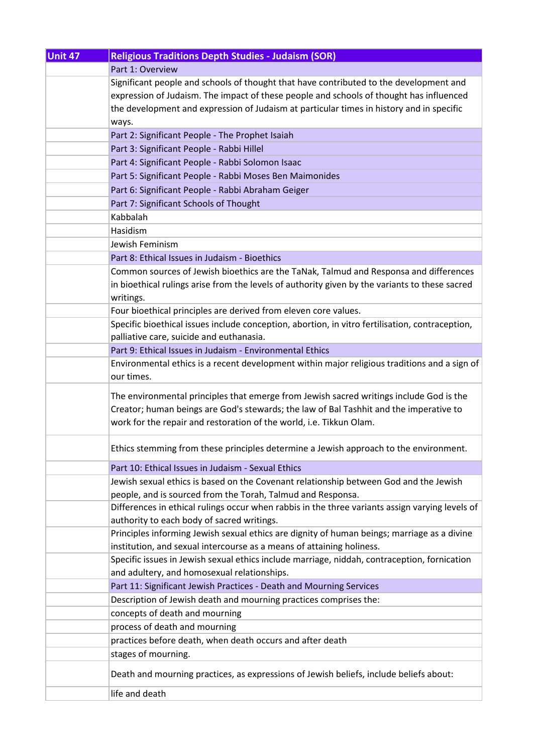| Unit 47 | <b>Religious Traditions Depth Studies - Judaism (SOR)</b>                                       |
|---------|-------------------------------------------------------------------------------------------------|
|         | Part 1: Overview                                                                                |
|         | Significant people and schools of thought that have contributed to the development and          |
|         | expression of Judaism. The impact of these people and schools of thought has influenced         |
|         | the development and expression of Judaism at particular times in history and in specific        |
|         | ways.                                                                                           |
|         | Part 2: Significant People - The Prophet Isaiah                                                 |
|         | Part 3: Significant People - Rabbi Hillel                                                       |
|         | Part 4: Significant People - Rabbi Solomon Isaac                                                |
|         | Part 5: Significant People - Rabbi Moses Ben Maimonides                                         |
|         | Part 6: Significant People - Rabbi Abraham Geiger                                               |
|         | Part 7: Significant Schools of Thought                                                          |
|         | Kabbalah                                                                                        |
|         | Hasidism                                                                                        |
|         | Jewish Feminism                                                                                 |
|         | Part 8: Ethical Issues in Judaism - Bioethics                                                   |
|         | Common sources of Jewish bioethics are the TaNak, Talmud and Responsa and differences           |
|         | in bioethical rulings arise from the levels of authority given by the variants to these sacred  |
|         | writings.                                                                                       |
|         | Four bioethical principles are derived from eleven core values.                                 |
|         | Specific bioethical issues include conception, abortion, in vitro fertilisation, contraception, |
|         | palliative care, suicide and euthanasia.                                                        |
|         | Part 9: Ethical Issues in Judaism - Environmental Ethics                                        |
|         | Environmental ethics is a recent development within major religious traditions and a sign of    |
|         | our times.                                                                                      |
|         | The environmental principles that emerge from Jewish sacred writings include God is the         |
|         | Creator; human beings are God's stewards; the law of Bal Tashhit and the imperative to          |
|         | work for the repair and restoration of the world, i.e. Tikkun Olam.                             |
|         |                                                                                                 |
|         | Ethics stemming from these principles determine a Jewish approach to the environment.           |
|         | Part 10: Ethical Issues in Judaism - Sexual Ethics                                              |
|         | Jewish sexual ethics is based on the Covenant relationship between God and the Jewish           |
|         | people, and is sourced from the Torah, Talmud and Responsa.                                     |
|         | Differences in ethical rulings occur when rabbis in the three variants assign varying levels of |
|         | authority to each body of sacred writings.                                                      |
|         | Principles informing Jewish sexual ethics are dignity of human beings; marriage as a divine     |
|         | institution, and sexual intercourse as a means of attaining holiness.                           |
|         | Specific issues in Jewish sexual ethics include marriage, niddah, contraception, fornication    |
|         | and adultery, and homosexual relationships.                                                     |
|         | Part 11: Significant Jewish Practices - Death and Mourning Services                             |
|         | Description of Jewish death and mourning practices comprises the:                               |
|         | concepts of death and mourning                                                                  |
|         | process of death and mourning                                                                   |
|         | practices before death, when death occurs and after death                                       |
|         | stages of mourning.                                                                             |
|         | Death and mourning practices, as expressions of Jewish beliefs, include beliefs about:          |
|         | life and death                                                                                  |
|         |                                                                                                 |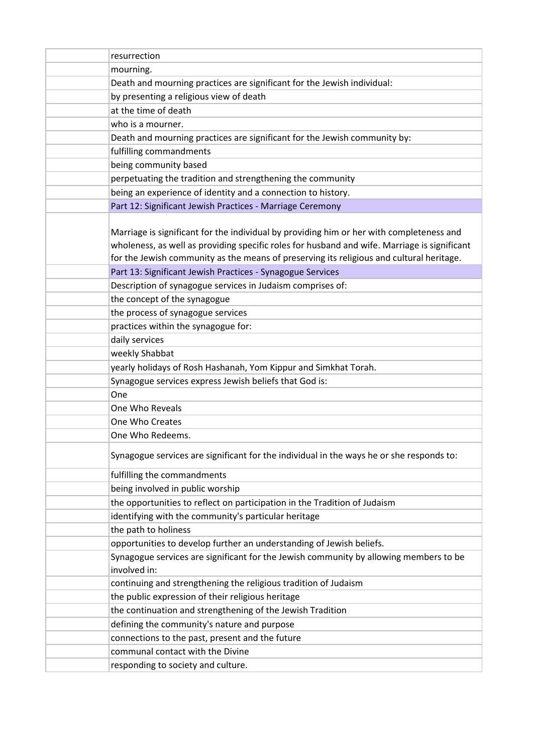| resurrection                                                                                                                                                                                                                                                                         |
|--------------------------------------------------------------------------------------------------------------------------------------------------------------------------------------------------------------------------------------------------------------------------------------|
| mourning.                                                                                                                                                                                                                                                                            |
| Death and mourning practices are significant for the Jewish individual:                                                                                                                                                                                                              |
| by presenting a religious view of death                                                                                                                                                                                                                                              |
| at the time of death                                                                                                                                                                                                                                                                 |
| who is a mourner.                                                                                                                                                                                                                                                                    |
| Death and mourning practices are significant for the Jewish community by:                                                                                                                                                                                                            |
| fulfilling commandments                                                                                                                                                                                                                                                              |
| being community based                                                                                                                                                                                                                                                                |
| perpetuating the tradition and strengthening the community                                                                                                                                                                                                                           |
| being an experience of identity and a connection to history.                                                                                                                                                                                                                         |
| Part 12: Significant Jewish Practices - Marriage Ceremony                                                                                                                                                                                                                            |
| Marriage is significant for the individual by providing him or her with completeness and<br>wholeness, as well as providing specific roles for husband and wife. Marriage is significant<br>for the Jewish community as the means of preserving its religious and cultural heritage. |
| Part 13: Significant Jewish Practices - Synagogue Services                                                                                                                                                                                                                           |
| Description of synagogue services in Judaism comprises of:                                                                                                                                                                                                                           |
| the concept of the synagogue                                                                                                                                                                                                                                                         |
| the process of synagogue services                                                                                                                                                                                                                                                    |
| practices within the synagogue for:                                                                                                                                                                                                                                                  |
| daily services                                                                                                                                                                                                                                                                       |
| weekly Shabbat                                                                                                                                                                                                                                                                       |
| yearly holidays of Rosh Hashanah, Yom Kippur and Simkhat Torah.                                                                                                                                                                                                                      |
| Synagogue services express Jewish beliefs that God is:                                                                                                                                                                                                                               |
| One                                                                                                                                                                                                                                                                                  |
| One Who Reveals                                                                                                                                                                                                                                                                      |
| One Who Creates                                                                                                                                                                                                                                                                      |
| One Who Redeems.                                                                                                                                                                                                                                                                     |
| Synagogue services are significant for the individual in the ways he or she responds to:                                                                                                                                                                                             |
| fulfilling the commandments                                                                                                                                                                                                                                                          |
| being involved in public worship                                                                                                                                                                                                                                                     |
| the opportunities to reflect on participation in the Tradition of Judaism                                                                                                                                                                                                            |
| identifying with the community's particular heritage                                                                                                                                                                                                                                 |
| the path to holiness                                                                                                                                                                                                                                                                 |
| opportunities to develop further an understanding of Jewish beliefs.                                                                                                                                                                                                                 |
| Synagogue services are significant for the Jewish community by allowing members to be<br>involved in:                                                                                                                                                                                |
| continuing and strengthening the religious tradition of Judaism                                                                                                                                                                                                                      |
| the public expression of their religious heritage                                                                                                                                                                                                                                    |
| the continuation and strengthening of the Jewish Tradition                                                                                                                                                                                                                           |
| defining the community's nature and purpose                                                                                                                                                                                                                                          |
| connections to the past, present and the future                                                                                                                                                                                                                                      |
| communal contact with the Divine                                                                                                                                                                                                                                                     |
| responding to society and culture.                                                                                                                                                                                                                                                   |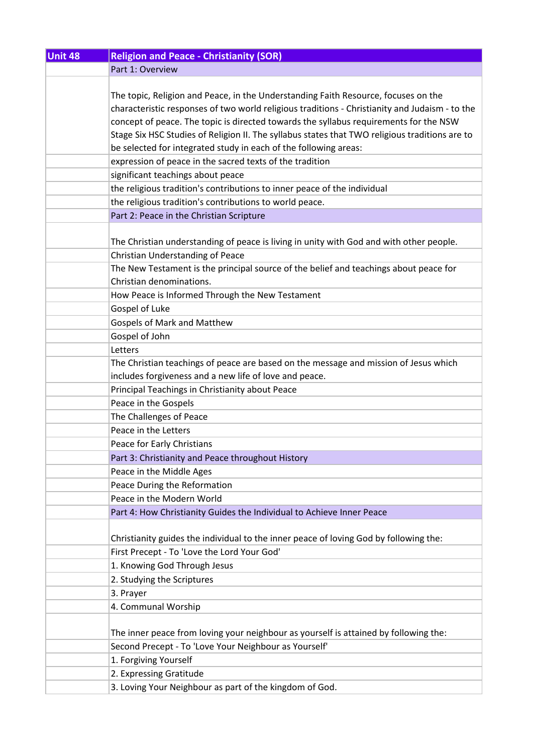| <b>Unit 48</b> | <b>Religion and Peace - Christianity (SOR)</b>                                                 |
|----------------|------------------------------------------------------------------------------------------------|
|                | Part 1: Overview                                                                               |
|                |                                                                                                |
|                | The topic, Religion and Peace, in the Understanding Faith Resource, focuses on the             |
|                | characteristic responses of two world religious traditions - Christianity and Judaism - to the |
|                | concept of peace. The topic is directed towards the syllabus requirements for the NSW          |
|                | Stage Six HSC Studies of Religion II. The syllabus states that TWO religious traditions are to |
|                | be selected for integrated study in each of the following areas:                               |
|                | expression of peace in the sacred texts of the tradition                                       |
|                | significant teachings about peace                                                              |
|                | the religious tradition's contributions to inner peace of the individual                       |
|                | the religious tradition's contributions to world peace.                                        |
|                | Part 2: Peace in the Christian Scripture                                                       |
|                |                                                                                                |
|                | The Christian understanding of peace is living in unity with God and with other people.        |
|                | Christian Understanding of Peace                                                               |
|                | The New Testament is the principal source of the belief and teachings about peace for          |
|                | Christian denominations.                                                                       |
|                | How Peace is Informed Through the New Testament                                                |
|                | Gospel of Luke                                                                                 |
|                | <b>Gospels of Mark and Matthew</b>                                                             |
|                | Gospel of John                                                                                 |
|                | Letters                                                                                        |
|                | The Christian teachings of peace are based on the message and mission of Jesus which           |
|                | includes forgiveness and a new life of love and peace.                                         |
|                | Principal Teachings in Christianity about Peace                                                |
|                | Peace in the Gospels                                                                           |
|                | The Challenges of Peace                                                                        |
|                | Peace in the Letters                                                                           |
|                |                                                                                                |
|                | Peace for Early Christians                                                                     |
|                | Part 3: Christianity and Peace throughout History                                              |
|                | Peace in the Middle Ages                                                                       |
|                | Peace During the Reformation                                                                   |
|                | Peace in the Modern World                                                                      |
|                | Part 4: How Christianity Guides the Individual to Achieve Inner Peace                          |
|                |                                                                                                |
|                | Christianity guides the individual to the inner peace of loving God by following the:          |
|                | First Precept - To 'Love the Lord Your God'                                                    |
|                | 1. Knowing God Through Jesus                                                                   |
|                | 2. Studying the Scriptures                                                                     |
|                | 3. Prayer                                                                                      |
|                | 4. Communal Worship                                                                            |
|                |                                                                                                |
|                | The inner peace from loving your neighbour as yourself is attained by following the:           |
|                | Second Precept - To 'Love Your Neighbour as Yourself'                                          |
|                | 1. Forgiving Yourself                                                                          |
|                | 2. Expressing Gratitude                                                                        |
|                | 3. Loving Your Neighbour as part of the kingdom of God.                                        |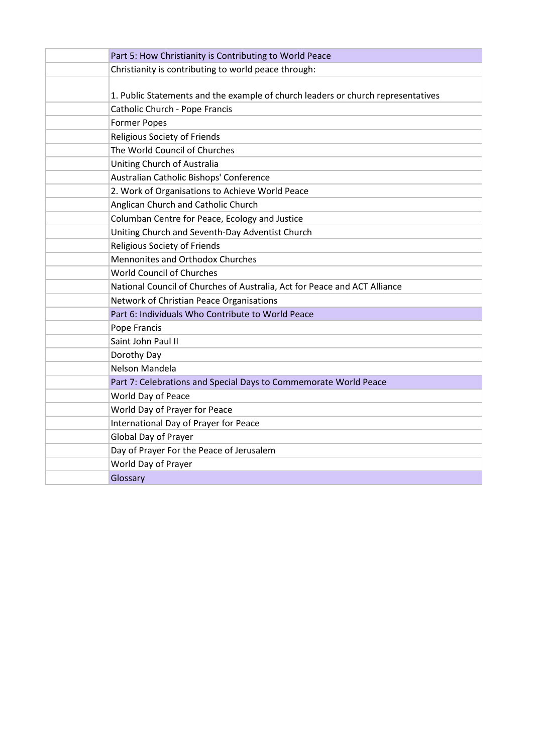| Part 5: How Christianity is Contributing to World Peace                          |
|----------------------------------------------------------------------------------|
| Christianity is contributing to world peace through:                             |
|                                                                                  |
| 1. Public Statements and the example of church leaders or church representatives |
| Catholic Church - Pope Francis                                                   |
| <b>Former Popes</b>                                                              |
| <b>Religious Society of Friends</b>                                              |
| The World Council of Churches                                                    |
| Uniting Church of Australia                                                      |
| Australian Catholic Bishops' Conference                                          |
| 2. Work of Organisations to Achieve World Peace                                  |
| Anglican Church and Catholic Church                                              |
| Columban Centre for Peace, Ecology and Justice                                   |
| Uniting Church and Seventh-Day Adventist Church                                  |
| Religious Society of Friends                                                     |
| <b>Mennonites and Orthodox Churches</b>                                          |
| <b>World Council of Churches</b>                                                 |
| National Council of Churches of Australia, Act for Peace and ACT Alliance        |
| Network of Christian Peace Organisations                                         |
| Part 6: Individuals Who Contribute to World Peace                                |
| Pope Francis                                                                     |
| Saint John Paul II                                                               |
| Dorothy Day                                                                      |
| Nelson Mandela                                                                   |
| Part 7: Celebrations and Special Days to Commemorate World Peace                 |
| World Day of Peace                                                               |
| World Day of Prayer for Peace                                                    |
| International Day of Prayer for Peace                                            |
| Global Day of Prayer                                                             |
| Day of Prayer For the Peace of Jerusalem                                         |
| World Day of Prayer                                                              |
| Glossary                                                                         |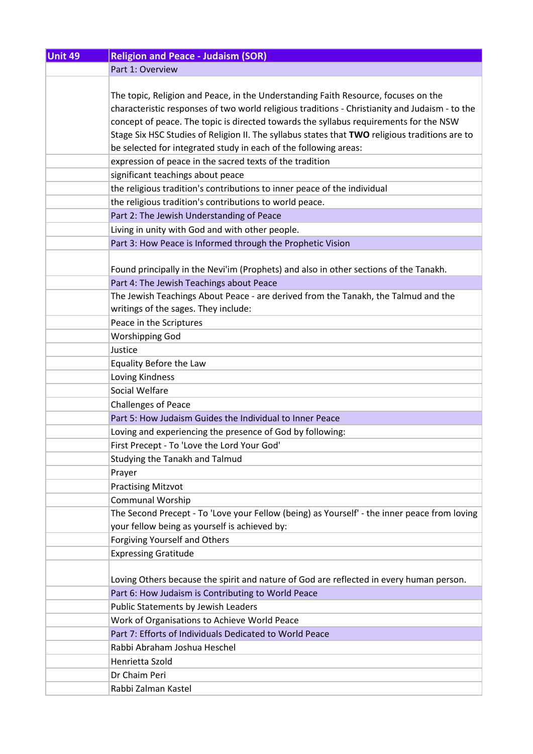| <b>Unit 49</b> | <b>Religion and Peace - Judaism (SOR)</b>                                                      |
|----------------|------------------------------------------------------------------------------------------------|
|                | Part 1: Overview                                                                               |
|                |                                                                                                |
|                | The topic, Religion and Peace, in the Understanding Faith Resource, focuses on the             |
|                | characteristic responses of two world religious traditions - Christianity and Judaism - to the |
|                | concept of peace. The topic is directed towards the syllabus requirements for the NSW          |
|                | Stage Six HSC Studies of Religion II. The syllabus states that TWO religious traditions are to |
|                | be selected for integrated study in each of the following areas:                               |
|                | expression of peace in the sacred texts of the tradition                                       |
|                | significant teachings about peace                                                              |
|                | the religious tradition's contributions to inner peace of the individual                       |
|                | the religious tradition's contributions to world peace.                                        |
|                | Part 2: The Jewish Understanding of Peace                                                      |
|                | Living in unity with God and with other people.                                                |
|                | Part 3: How Peace is Informed through the Prophetic Vision                                     |
|                |                                                                                                |
|                | Found principally in the Nevi'im (Prophets) and also in other sections of the Tanakh.          |
|                |                                                                                                |
|                | Part 4: The Jewish Teachings about Peace                                                       |
|                | The Jewish Teachings About Peace - are derived from the Tanakh, the Talmud and the             |
|                | writings of the sages. They include:                                                           |
|                | Peace in the Scriptures                                                                        |
|                | <b>Worshipping God</b>                                                                         |
|                | Justice                                                                                        |
|                | Equality Before the Law                                                                        |
|                | Loving Kindness                                                                                |
|                | Social Welfare                                                                                 |
|                | <b>Challenges of Peace</b>                                                                     |
|                | Part 5: How Judaism Guides the Individual to Inner Peace                                       |
|                | Loving and experiencing the presence of God by following:                                      |
|                | First Precept - To 'Love the Lord Your God'                                                    |
|                | Studying the Tanakh and Talmud                                                                 |
|                | Prayer                                                                                         |
|                | <b>Practising Mitzvot</b>                                                                      |
|                | <b>Communal Worship</b>                                                                        |
|                | The Second Precept - To 'Love your Fellow (being) as Yourself' - the inner peace from loving   |
|                | your fellow being as yourself is achieved by:                                                  |
|                | <b>Forgiving Yourself and Others</b>                                                           |
|                | <b>Expressing Gratitude</b>                                                                    |
|                |                                                                                                |
|                | Loving Others because the spirit and nature of God are reflected in every human person.        |
|                | Part 6: How Judaism is Contributing to World Peace                                             |
|                | Public Statements by Jewish Leaders                                                            |
|                | Work of Organisations to Achieve World Peace                                                   |
|                | Part 7: Efforts of Individuals Dedicated to World Peace                                        |
|                | Rabbi Abraham Joshua Heschel                                                                   |
|                | Henrietta Szold                                                                                |
|                | Dr Chaim Peri                                                                                  |
|                | Rabbi Zalman Kastel                                                                            |
|                |                                                                                                |